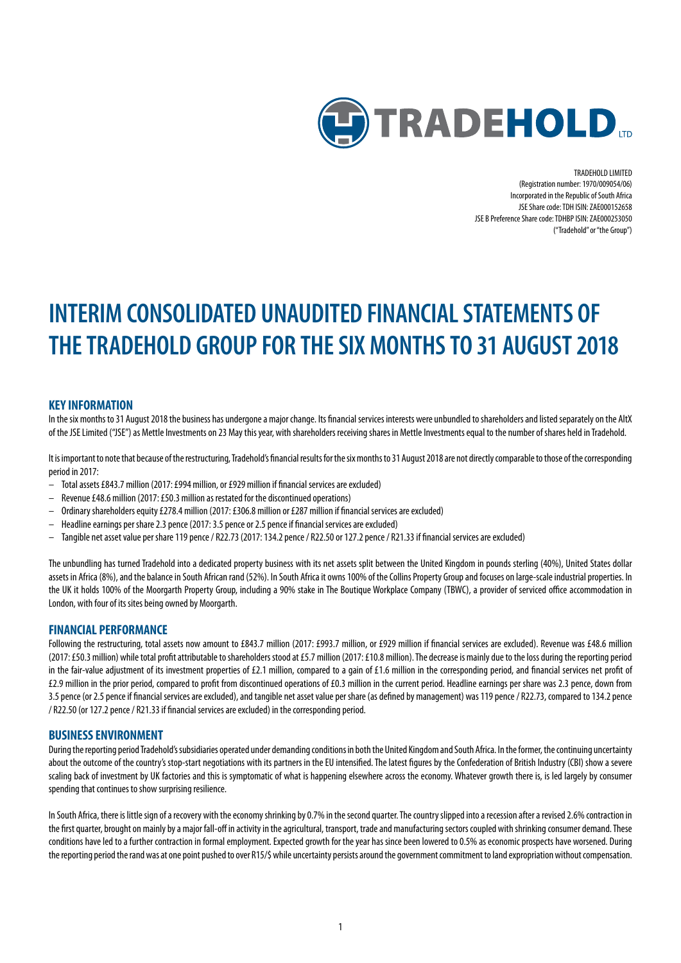

TRADEHOLD LIMITED (Registration number: 1970/009054/06) Incorporated in the Republic of South Africa JSE Share code: TDH ISIN: ZAE000152658 JSE B Preference Share code: TDHBP ISIN: ZAE000253050 ("Tradehold" or "the Group")

# **INTERIM CONSOLIDATED UNAUDITED FINANCIAL STATEMENTS OF THE TRADEHOLD GROUP FOR THE SIX MONTHS TO 31 AUGUST 2018**

# **KEY INFORMATION**

In the six months to 31 August 2018 the business has undergone a major change. Its financial services interests were unbundled to shareholders and listed separately on the AltX of the JSE Limited ("JSE") as Mettle Investments on 23 May this year, with shareholders receiving shares in Mettle Investments equal to the number of shares held in Tradehold.

It is important to note that because of the restructuring, Tradehold's financial results for the six months to 31 August 2018 are not directly comparable to those of the corresponding period in 2017:

- Total assets £843.7 million (2017: £994 million, or £929 million if financial services are excluded)
- Revenue £48.6 million (2017: £50.3 million as restated for the discontinued operations)
- Ordinary shareholders equity £278.4 million (2017: £306.8 million or £287 million if financial services are excluded)
- Headline earnings per share 2.3 pence (2017: 3.5 pence or 2.5 pence if financial services are excluded)
- Tangible net asset value per share 119 pence / R22.73 (2017: 134.2 pence / R22.50 or 127.2 pence / R21.33 if financial services are excluded)

The unbundling has turned Tradehold into a dedicated property business with its net assets split between the United Kingdom in pounds sterling (40%), United States dollar assets in Africa (8%), and the balance in South African rand (52%). In South Africa it owns 100% of the Collins Property Group and focuses on large-scale industrial properties. In the UK it holds 100% of the Moorgarth Property Group, including a 90% stake in The Boutique Workplace Company (TBWC), a provider of serviced office accommodation in London, with four of its sites being owned by Moorgarth.

### **FINANCIAL PERFORMANCE**

Following the restructuring, total assets now amount to £843.7 million (2017: £993.7 million, or £929 million if financial services are excluded). Revenue was £48.6 million (2017:£50.3 million) while total profit attributable to shareholders stood at £5.7 million (2017: £10.8 million). The decrease is mainly due to the loss during the reporting period in the fair-value adjustment of its investment properties of £2.1 million, compared to a gain of £1.6 million in the corresponding period, and financial services net profit of £2.9 million in the prior period, compared to profit from discontinued operations of £0.3 million in the current period. Headline earnings per share was 2.3pence, down from 3.5pence (or 2.5 pence if financial services are excluded), and tangible net asset value per share (as defined by management) was 119 pence / R22.73, compared to 134.2 pence / R22.50 (or 127.2 pence / R21.33 if financial services are excluded) in the corresponding period.

#### **BUSINESS ENVIRONMENT**

During the reporting period Tradehold's subsidiaries operated under demanding conditions in both the United Kingdom and South Africa. In the former, the continuing uncertainty about the outcome of the country's stop-start negotiations with its partners in the EU intensified. The latest figures by the Confederation of British Industry (CBI) show a severe scaling back of investment by UK factories and this is symptomatic of what is happening elsewhere across the economy. Whatever growth there is, is led largely by consumer spending that continues to show surprising resilience.

In South Africa, there is little sign of a recovery with the economy shrinking by 0.7% in the second quarter. The country slipped into a recession after a revised 2.6% contraction in the first quarter, brought on mainly by a major fall-off in activity in the agricultural, transport, trade and manufacturing sectors coupled with shrinking consumer demand. These conditions have led to a further contraction in formal employment. Expected growth for the year has since been lowered to 0.5% as economic prospects have worsened. During the reporting period the rand was at one point pushed to over R15/\$ while uncertainty persists around the government commitment to land expropriation without compensation.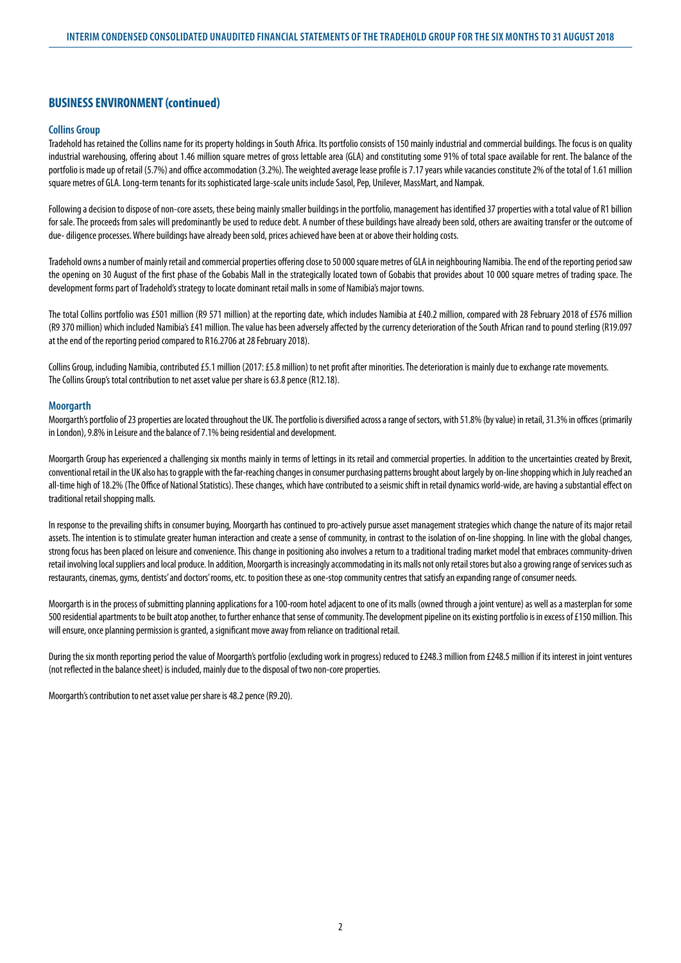# **BUSINESS ENVIRONMENT (continued)**

#### **Collins Group**

Tradehold has retained the Collins name for its property holdings in South Africa. Its portfolio consists of 150 mainly industrial and commercial buildings. The focus is on quality industrial warehousing, offering about 1.46 million square metres of gross lettable area (GLA) and constituting some 91% of total space available for rent. The balance of the portfolio is made up of retail (5.7%) and office accommodation (3.2%). The weighted average lease profile is 7.17 years while vacancies constitute 2% of the total of 1.61 million square metres of GLA. Long-term tenants for its sophisticated large-scale units include Sasol, Pep, Unilever, MassMart, and Nampak.

Following a decision to dispose of non-core assets, these being mainly smaller buildings in the portfolio, management has identified 37 properties with a total value of R1 billion for sale. The proceeds from sales will predominantly be used to reduce debt. A number of these buildings have already been sold, others are awaiting transfer or the outcome of due- diligence processes. Where buildings have already been sold, prices achieved have been at or above their holding costs.

Tradehold owns a number of mainly retail and commercial properties offering close to 50 000 square metres of GLA in neighbouring Namibia. The end of the reporting period saw the opening on 30 August of the first phase of the Gobabis Mall in the strategically located town of Gobabis that provides about 10 000 square metres of trading space. The development forms part of Tradehold's strategy to locate dominant retail malls in some of Namibia's major towns.

The total Collins portfolio was £501 million (R9 571 million) at the reporting date, which includes Namibia at £40.2 million, compared with 28 February 2018 of £576 million (R9370 million) which included Namibia's £41 million. The value has been adversely affected by the currency deterioration of the South African rand to pound sterling (R19.097 at the end of the reporting period compared to R16.2706 at 28 February 2018).

Collins Group, including Namibia, contributed £5.1 million (2017: £5.8 million) to net profit after minorities. The deterioration is mainly due to exchange rate movements. The Collins Group's total contribution to net asset value per share is 63.8 pence (R12.18).

#### **Moorgarth**

Moorgarth's portfolio of 23 properties are located throughout the UK. The portfolio is diversified across a range of sectors, with 51.8% (by value) in retail, 31.3% in offices (primarily in London), 9.8% in Leisure and the balance of 7.1% being residential and development.

Moorgarth Group has experienced a challenging six months mainly in terms of lettings in its retail and commercial properties. In addition to the uncertainties created by Brexit, conventional retail in the UK also has to grapple with the far-reaching changes in consumer purchasing patterns brought about largely by on-line shopping which in July reached an all-time high of 18.2% (The Office of National Statistics). These changes, which have contributed to a seismic shift in retail dynamics world-wide, are having a substantial effect on traditional retail shopping malls.

In response to the prevailing shifts in consumer buying, Moorgarth has continued to pro-actively pursue asset management strategies which change the nature of its major retail assets. The intention is to stimulate greater human interaction and create a sense of community, in contrast to the isolation of on-line shopping. In line with the global changes, strong focus has been placed on leisure and convenience. This change in positioning also involves a return to a traditional trading market model that embraces community-driven retail involving local suppliers and local produce. In addition, Moorgarth is increasingly accommodating in its malls not only retail stores but also a growing range of services such as restaurants, cinemas, gyms, dentists' and doctors' rooms, etc. to position these as one-stop community centres that satisfy an expanding range of consumer needs.

Moorgarth is in the process of submitting planning applications for a 100-room hotel adjacent to one of its malls (owned through a joint venture) as well as a masterplan for some 500 residential apartments to be built atop another, to further enhance that sense of community. The development pipeline on its existing portfolio is in excess of £150 million. This will ensure, once planning permission is granted, a significant move away from reliance on traditional retail.

During the six month reporting period the value of Moorgarth's portfolio (excluding work in progress) reduced to £248.3 million from £248.5 million if its interest in joint ventures (not reflected in the balance sheet) is included, mainly due to the disposal of two non-core properties.

Moorgarth's contribution to net asset value per share is 48.2 pence (R9.20).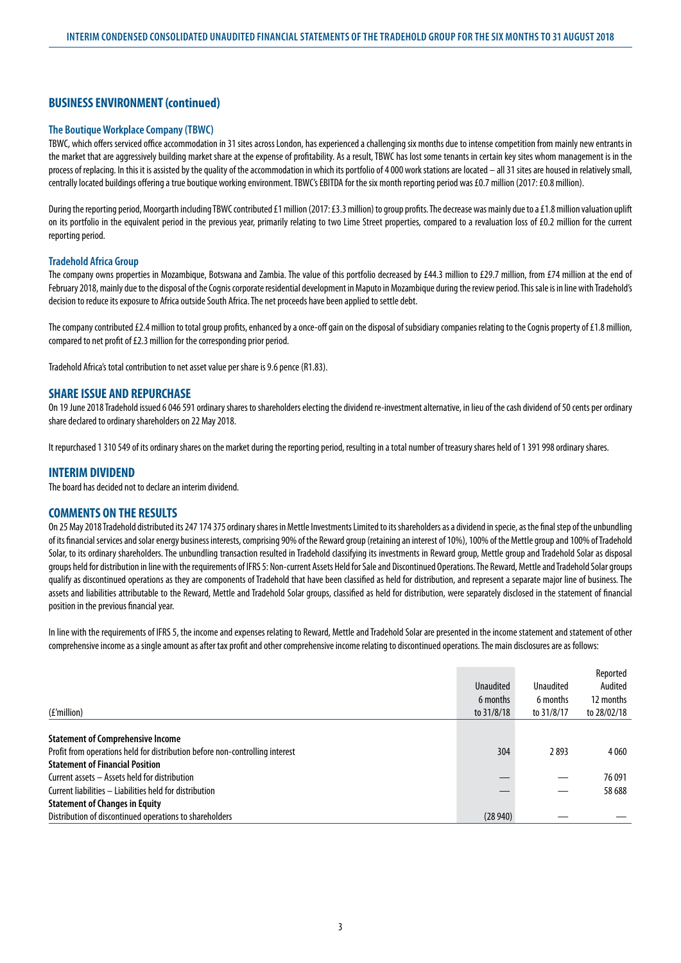# **BUSINESS ENVIRONMENT (continued)**

### **The Boutique Workplace Company (TBWC)**

TBWC, which offers serviced office accommodation in 31 sites across London, has experienced a challenging six months due to intense competition from mainly new entrants in the market that are aggressively building market share at the expense of profitability. As a result, TBWC has lost some tenants in certain key sites whom management is in the process of replacing. In this it is assisted by the quality of the accommodation in which its portfolio of 4 000 work stations are located – all 31 sites are housed in relatively small, centrally located buildings offering a true boutique working environment. TBWC's EBITDA for the six month reporting period was £0.7 million (2017: £0.8 million).

During the reporting period, Moorgarth including TBWC contributed £1 million (2017: £3.3 million) to group profits. The decrease was mainly due to a £1.8 million valuation uplift on its portfolio in the equivalent period in the previous year, primarily relating to two Lime Street properties, compared to a revaluation loss of £0.2 million for the current reporting period.

#### **Tradehold Africa Group**

The company owns properties in Mozambique, Botswana and Zambia. The value of this portfolio decreased by £44.3 million to £29.7 million, from £74 million at the end of February 2018, mainly due to the disposal of the Cognis corporate residential development in Maputo in Mozambique during the review period. This sale is in line with Tradehold's decision to reduce its exposure to Africa outside South Africa. The net proceeds have been applied to settle debt.

The company contributed £2.4 million to total group profits, enhanced by a once-off gain on the disposal of subsidiary companies relating to the Cognis property of £1.8 million, compared to net profit of £2.3 million for the corresponding prior period.

Tradehold Africa's total contribution to net asset value per share is 9.6 pence (R1.83).

### **SHARE ISSUE AND REPURCHASE**

On 19 June 2018 Tradehold issued 6 046 591 ordinary shares to shareholders electing the dividend re-investment alternative, in lieu of the cash dividend of 50 cents per ordinary share declared to ordinary shareholders on 22 May 2018.

It repurchased 1 310 549 of its ordinary shares on the market during the reporting period, resulting in a total number of treasury shares held of 1 391 998 ordinary shares.

### **INTERIM DIVIDEND**

The board has decided not to declare an interim dividend.

#### **COMMENTS ON THE RESULTS**

On 25 May 2018 Tradehold distributed its 247 174 375 ordinary shares in Mettle Investments Limited to its shareholders as a dividend in specie, as the final step of the unbundling of its financial services and solar energy business interests, comprising 90% of the Reward group (retaining an interest of 10%), 100% of the Mettle group and 100% of Tradehold Solar, to its ordinary shareholders. The unbundling transaction resulted in Tradehold classifying its investments in Reward group, Mettle group and Tradehold Solar as disposal groups held for distribution in line with the requirements of IFRS 5: Non-current Assets Held for Sale and Discontinued Operations. The Reward, Mettle and Tradehold Solar groups qualify as discontinued operations as they are components of Tradehold that have been classified as held for distribution, and represent a separate major line of business. The assets and liabilities attributable to the Reward, Mettle and Tradehold Solar groups, classified as held for distribution, were separately disclosed in the statement of financial position in the previous financial year.

In line with the requirements of IFRS 5, the income and expenses relating to Reward, Mettle and Tradehold Solar are presented in the income statement and statement of other comprehensive income as a single amount as after tax profit and other comprehensive income relating to discontinued operations. The main disclosures are as follows:

|                                                                              |                  |            | Reported    |
|------------------------------------------------------------------------------|------------------|------------|-------------|
|                                                                              | <b>Unaudited</b> | Unaudited  | Audited     |
|                                                                              | 6 months         | 6 months   | 12 months   |
| (£'million)                                                                  | to 31/8/18       | to 31/8/17 | to 28/02/18 |
|                                                                              |                  |            |             |
| <b>Statement of Comprehensive Income</b>                                     |                  |            |             |
| Profit from operations held for distribution before non-controlling interest | 304              | 2893       | 4060        |
| <b>Statement of Financial Position</b>                                       |                  |            |             |
| Current assets - Assets held for distribution                                |                  |            | 76091       |
| Current liabilities - Liabilities held for distribution                      |                  |            | 58 688      |
| <b>Statement of Changes in Equity</b>                                        |                  |            |             |
| Distribution of discontinued operations to shareholders                      | (28940)          |            |             |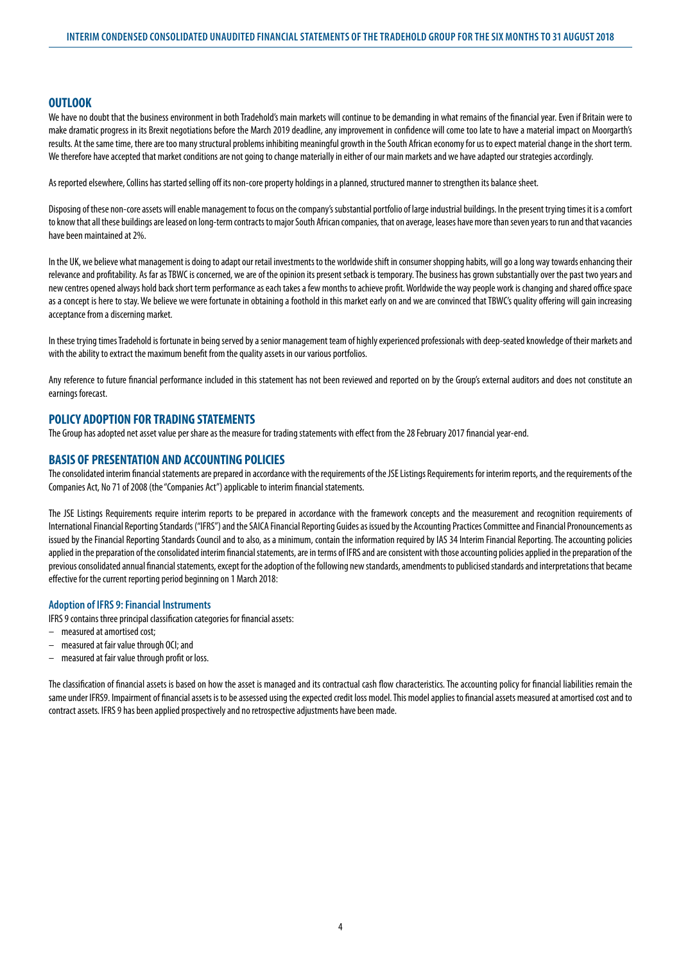### **OUTLOOK**

We have no doubt that the business environment in both Tradehold's main markets will continue to be demanding in what remains of the financial year. Even if Britain were to make dramatic progress in its Brexit negotiations before the March 2019 deadline, any improvement in confidence will come too late to have a material impact on Moorgarth's results. At the same time, there are too many structural problems inhibiting meaningful growth in the South African economy for us to expect material change in the short term. We therefore have accepted that market conditions are not going to change materially in either of our main markets and we have adapted our strategies accordingly.

As reported elsewhere, Collins has started selling off its non-core property holdings in a planned, structured manner to strengthen its balance sheet.

Disposing of these non-core assets will enable management to focus on the company's substantial portfolio of large industrial buildings. In the present trying times it is a comfort to know that all these buildings are leased on long-term contracts to major South African companies, that on average, leases have more than seven years to run and that vacancies have been maintained at 2%.

In the UK, we believe what management is doing to adapt our retail investments to the worldwide shift in consumer shopping habits, will go a long way towards enhancing their relevance and profitability. As far as TBWC is concerned, we are of the opinion its present setback is temporary. The business has grown substantially over the past two years and new centres opened always hold back short term performance as each takes a few months to achieve profit. Worldwide the way people work is changing and shared office space as a concept is here to stay. We believe we were fortunate in obtaining a foothold in this market early on and we are convinced that TBWC's quality offering will gain increasing acceptance from a discerning market.

In these trying times Tradehold is fortunate in being served by a senior management team of highly experienced professionals with deep-seated knowledge of their markets and with the ability to extract the maximum benefit from the quality assets in our various portfolios.

Any reference to future financial performance included in this statement has not been reviewed and reported on by the Group's external auditors and does not constitute an earnings forecast.

# **POLICY ADOPTION FOR TRADING STATEMENTS**

The Group has adopted net asset value per share as the measure for trading statements with effect from the 28 February 2017 financial year-end.

### **BASIS OF PRESENTATION AND ACCOUNTING POLICIES**

The consolidated interim financial statements are prepared in accordance with the requirements of the JSE Listings Requirements for interim reports, and the requirements of the Companies Act, No 71 of 2008 (the "Companies Act") applicable to interim financial statements.

The JSE Listings Requirements require interim reports to be prepared in accordance with the framework concepts and the measurement and recognition requirements of International Financial Reporting Standards ("IFRS") and the SAICA Financial Reporting Guides as issued by the Accounting Practices Committee and Financial Pronouncements as issued by the Financial Reporting Standards Council and to also, as a minimum, contain the information required by IAS 34 Interim Financial Reporting. The accounting policies applied in the preparation of the consolidated interim financial statements, are in terms of IFRS and are consistent with those accounting policies applied in the preparation of the previous consolidated annual financial statements, except for the adoption of the following new standards, amendments to publicised standards and interpretations that became effective for the current reporting period beginning on 1 March 2018:

#### **Adoption of IFRS 9: Financial Instruments**

- IFRS 9 contains three principal classification categories for financial assets:
- measured at amortised cost;
- measured at fair value through OCI; and
- measured at fair value through profit or loss.

The classification of financial assets is based on how the asset is managed and its contractual cash flow characteristics. The accounting policy for financial liabilities remain the same under IFRS9. Impairment of financial assets is to be assessed using the expected credit loss model. This model applies to financial assets measured at amortised cost and to contract assets. IFRS 9 has been applied prospectively and no retrospective adjustments have been made.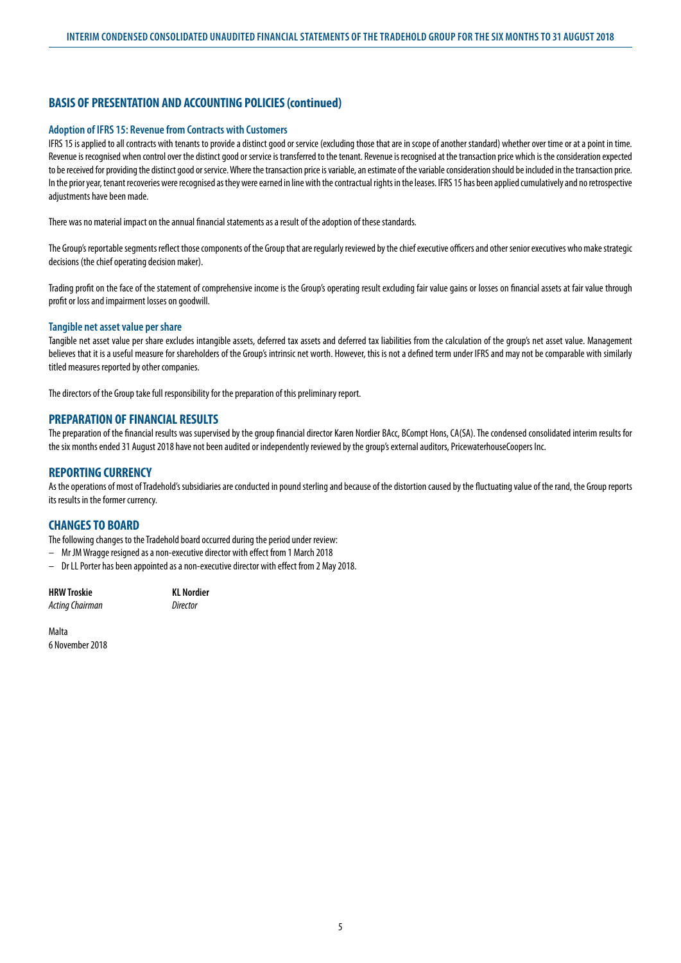# **BASIS OF PRESENTATION AND ACCOUNTING POLICIES (continued)**

#### **Adoption of IFRS 15: Revenue from Contracts with Customers**

IFRS 15 is applied to all contracts with tenants to provide a distinct good or service (excluding those that are in scope of another standard) whether over time or at a point in time. Revenue is recognised when control over the distinct good or service is transferred to the tenant. Revenue is recognised at the transaction price which is the consideration expected to be received for providing the distinct good or service. Where the transaction price is variable, an estimate of the variable consideration should be included in the transaction price. In the prior year, tenant recoveries were recognised as they were earned in line with the contractual rights in the leases. IFRS 15 has been applied cumulatively and no retrospective adjustments have been made.

There was no material impact on the annual financial statements as a result of the adoption of these standards.

The Group's reportable segments reflect those components of the Group that are regularly reviewed by the chief executive officers and other senior executives who make strategic decisions (the chief operating decision maker).

Trading profit on the face of the statement of comprehensive income is the Group's operating result excluding fair value gains or losses on financial assets at fair value through profit or loss and impairment losses on goodwill.

#### **Tangible net asset value per share**

Tangible net asset value per share excludes intangible assets, deferred tax assets and deferred tax liabilities from the calculation of the group's net asset value. Management believes that it is a useful measure for shareholders of the Group's intrinsic net worth. However, this is not a defined term under IFRS and may not be comparable with similarly titled measures reported by other companies.

The directors of the Group take full responsibility for the preparation of this preliminary report.

### **PREPARATION OF FINANCIAL RESULTS**

The preparation of the financial results was supervised by the group financial director Karen Nordier BAcc, BCompt Hons, CA(SA). The condensed consolidated interim results for the six months ended 31 August 2018 have not been audited or independently reviewed by the group's external auditors, PricewaterhouseCoopers Inc.

### **REPORTING CURRENCY**

As the operations of most of Tradehold's subsidiaries are conducted in pound sterling and because of the distortion caused by the fluctuating value of the rand, the Group reports its results in the former currency.

## **CHANGES TO BOARD**

The following changes to the Tradehold board occurred during the period under review:

– Mr JM Wragge resigned as a non-executive director with effect from 1 March 2018

– Dr LL Porter has been appointed as a non-executive director with effect from 2 May 2018.

| HRW Troskie     | <b>KL Nordier</b> |
|-----------------|-------------------|
| Acting Chairman | Director          |

Malta 6 November 2018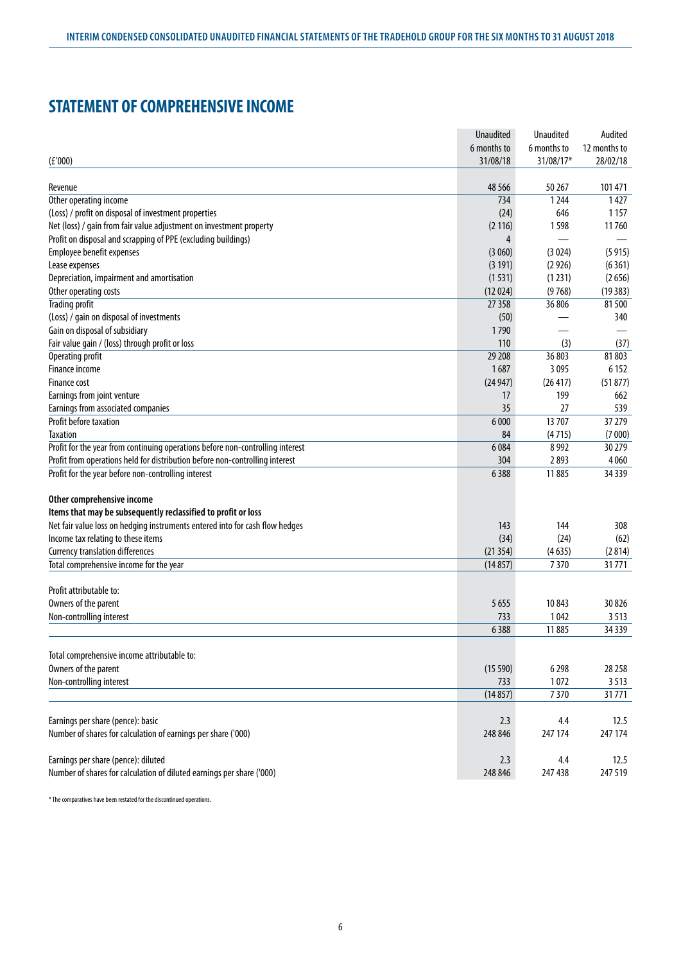# **STATEMENT OF COMPREHENSIVE INCOME**

|                                                                                | <b>Unaudited</b> | Unaudited     | Audited      |
|--------------------------------------------------------------------------------|------------------|---------------|--------------|
|                                                                                | 6 months to      | 6 months to   | 12 months to |
| (E'000)                                                                        | 31/08/18         | 31/08/17*     | 28/02/18     |
|                                                                                |                  |               |              |
| Revenue                                                                        | 48 5 66          | 50 267        | 101 471      |
| Other operating income                                                         | 734              | 1244          | 1427         |
| (Loss) / profit on disposal of investment properties                           | (24)             | 646           | 1 1 5 7      |
| Net (loss) / gain from fair value adjustment on investment property            | (2116)           | 1598          | 11760        |
| Profit on disposal and scrapping of PPE (excluding buildings)                  | 4                |               |              |
| Employee benefit expenses                                                      | (3060)           | (3024)        | (5915)       |
| Lease expenses                                                                 | (3 191)          | (2926)        | (6361)       |
| Depreciation, impairment and amortisation                                      | (1531)           | (1231)        | (2656)       |
| Other operating costs                                                          | (12024)          | (9768)        | (19383)      |
| <b>Trading profit</b>                                                          | 27 3 58          | 36806         | 81500        |
| (Loss) / gain on disposal of investments                                       | (50)             |               | 340          |
| Gain on disposal of subsidiary                                                 | 1790             |               |              |
| Fair value gain / (loss) through profit or loss                                | 110              | (3)           | (37)         |
| Operating profit                                                               | 29 208           | 36 803        | 81803        |
| Finance income                                                                 | 1687             | 3 0 9 5       | 6 1 5 2      |
| Finance cost                                                                   | (24947)          | (26 417)      | (51877)      |
| Earnings from joint venture                                                    | 17               | 199           | 662          |
| Earnings from associated companies                                             | 35               | 27            | 539          |
| Profit before taxation                                                         | 6 0 0 0          | 13707         | 37 279       |
| <b>Taxation</b>                                                                | 84               | (4715)        | (7000)       |
| Profit for the year from continuing operations before non-controlling interest | 6 0 8 4          | 8992          | 30 279       |
| Profit from operations held for distribution before non-controlling interest   | 304              | 2893          | 4 0 6 0      |
| Profit for the year before non-controlling interest                            | 6388             | 11885         | 34 3 39      |
|                                                                                |                  |               |              |
| Other comprehensive income                                                     |                  |               |              |
| Items that may be subsequently reclassified to profit or loss                  |                  |               |              |
| Net fair value loss on hedging instruments entered into for cash flow hedges   | 143              | 144           | 308          |
| Income tax relating to these items                                             | (34)             | (24)          | (62)         |
| <b>Currency translation differences</b>                                        | (21354)          | (4635)        | (2814)       |
| Total comprehensive income for the year                                        | (14857)          | 7370          | 31771        |
|                                                                                |                  |               |              |
| Profit attributable to:                                                        |                  |               |              |
| Owners of the parent                                                           | 5 6 5 5          | 10843         | 30 8 26      |
|                                                                                |                  |               |              |
| Non-controlling interest                                                       | 733              | 1042<br>11885 | 3513         |
|                                                                                | 6388             |               | 34 3 39      |
|                                                                                |                  |               |              |
| Total comprehensive income attributable to:                                    |                  |               |              |
| Owners of the parent                                                           | (15590)          | 6298          | 28 25 8      |
| Non-controlling interest                                                       | 733              | 1072          | 3513         |
|                                                                                | (14857)          | 7370          | 31771        |
|                                                                                |                  |               |              |
| Earnings per share (pence): basic                                              | 2.3              | 4.4           | 12.5         |
| Number of shares for calculation of earnings per share ('000)                  | 248 846          | 247 174       | 247 174      |
|                                                                                |                  |               |              |
| Earnings per share (pence): diluted                                            | 2.3              | 4.4           | 12.5         |
| Number of shares for calculation of diluted earnings per share ('000)          | 248 846          | 247 438       | 247 519      |

\* The comparatives have been restated for the discontinued operations.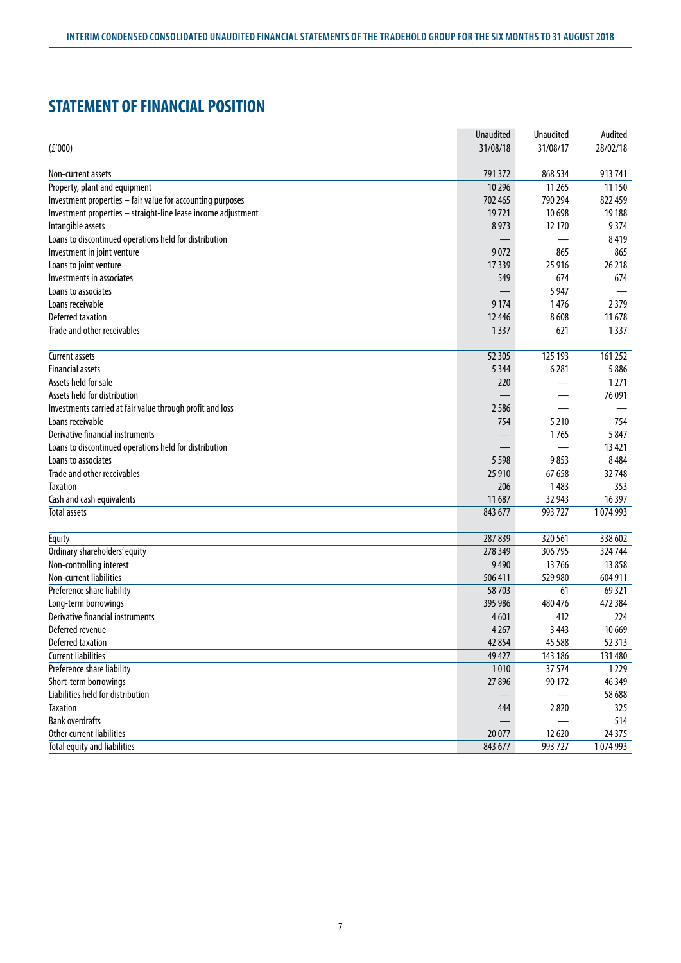# **STATEMENT OF FINANCIAL POSITION**

|                                                               | <b>Unaudited</b> | Unaudited | Audited  |
|---------------------------------------------------------------|------------------|-----------|----------|
| (f'000)                                                       | 31/08/18         | 31/08/17  | 28/02/18 |
|                                                               |                  |           |          |
| Non-current assets                                            | 791 372          | 868 534   | 913741   |
| Property, plant and equipment                                 | 10 29 6          | 11 265    | 11 150   |
| Investment properties - fair value for accounting purposes    | 702 465          | 790 294   | 822 459  |
| Investment properties - straight-line lease income adjustment | 19721            | 10 698    | 19 188   |
| Intangible assets                                             | 8973             | 12 170    | 9374     |
| Loans to discontinued operations held for distribution        |                  |           | 8419     |
| Investment in joint venture                                   | 9072             | 865       | 865      |
| Loans to joint venture                                        | 17 339           | 25 9 16   | 26 218   |
| Investments in associates                                     | 549              | 674       | 674      |
| Loans to associates                                           |                  | 5 9 4 7   |          |
| Loans receivable                                              | 9 1 7 4          | 1476      | 2379     |
| Deferred taxation                                             | 12 4 46          | 8608      | 11678    |
| Trade and other receivables                                   | 1337             | 621       | 1337     |
|                                                               |                  |           |          |
| Current assets                                                | 52 305           | 125 193   | 161 252  |
| <b>Financial assets</b>                                       | 5 3 4 4          | 6281      | 5886     |
| Assets held for sale                                          | 220              |           | 1271     |
| Assets held for distribution                                  |                  |           | 76 091   |
| Investments carried at fair value through profit and loss     | 2586             |           |          |
| Loans receivable                                              | 754              | 5 2 1 0   | 754      |
| Derivative financial instruments                              |                  | 1765      | 5847     |
| Loans to discontinued operations held for distribution        |                  |           | 13 4 21  |
| Loans to associates                                           | 5 5 9 8          | 9853      | 8484     |
| Trade and other receivables                                   | 25 910           | 67 658    | 32748    |
| <b>Taxation</b>                                               | 206              | 1483      | 353      |
| Cash and cash equivalents                                     | 11 687           | 32 943    | 16 3 97  |
| <b>Total assets</b>                                           | 843 677          | 993 727   | 1074993  |
|                                                               |                  |           |          |
| Equity                                                        | 287 839          | 320 561   | 338 602  |
| Ordinary shareholders' equity                                 | 278 349          | 306 795   | 324744   |
| Non-controlling interest                                      | 9 4 9 0          | 13766     | 13858    |
| Non-current liabilities                                       | 506 411          | 529 980   | 604 911  |
| Preference share liability                                    | 58703            | 61        | 69 3 21  |
| Long-term borrowings                                          | 395 986          | 480 476   | 472 384  |
| Derivative financial instruments                              | 4601             | 412       | 224      |
| Deferred revenue                                              | 4 2 6 7          | 3 4 4 3   | 10 6 69  |
| Deferred taxation                                             | 42 854           | 45 5 88   | 52 3 13  |
| <b>Current liabilities</b>                                    | 49 427           | 143 186   | 131 480  |
| Preference share liability                                    | 1010             | 37 574    | 1229     |
| Short-term borrowings                                         | 27 896           | 90 172    | 46 349   |
| Liabilities held for distribution                             |                  |           | 58 688   |
| <b>Taxation</b>                                               | 444              | 2820      | 325      |
| <b>Bank overdrafts</b>                                        |                  |           | 514      |
| Other current liabilities                                     | 20 077           | 12 6 20   | 24 3 7 5 |
| Total equity and liabilities                                  | 843 677          | 993 727   | 1074993  |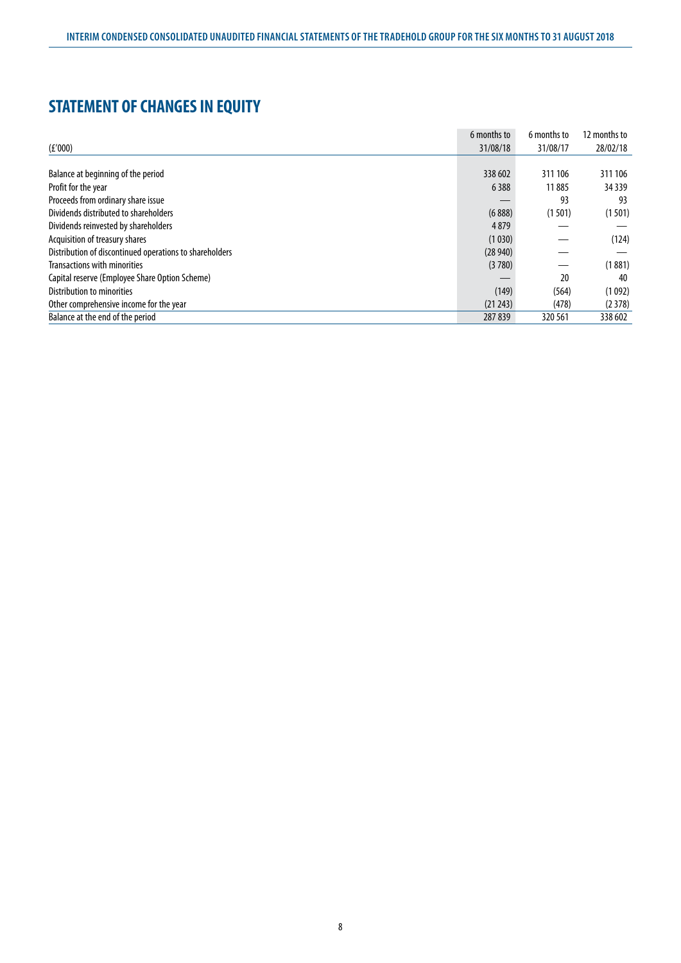# **STATEMENT OF CHANGES IN EQUITY**

|                                                         | 6 months to | 6 months to | 12 months to |
|---------------------------------------------------------|-------------|-------------|--------------|
| (E'000)                                                 | 31/08/18    | 31/08/17    | 28/02/18     |
|                                                         |             |             |              |
| Balance at beginning of the period                      | 338 602     | 311 106     | 311 106      |
| Profit for the year                                     | 6388        | 11885       | 34 3 39      |
| Proceeds from ordinary share issue                      |             | 93          | 93           |
| Dividends distributed to shareholders                   | (6888)      | (1501)      | (1501)       |
| Dividends reinvested by shareholders                    | 4879        |             |              |
| Acquisition of treasury shares                          | (1030)      |             | (124)        |
| Distribution of discontinued operations to shareholders | (28940)     |             |              |
| <b>Transactions with minorities</b>                     | (3780)      |             | (1881)       |
| Capital reserve (Employee Share Option Scheme)          |             | 20          | 40           |
| Distribution to minorities                              | (149)       | (564)       | (1092)       |
| Other comprehensive income for the year                 | (21 243)    | (478)       | (2378)       |
| Balance at the end of the period                        | 287839      | 320 561     | 338 602      |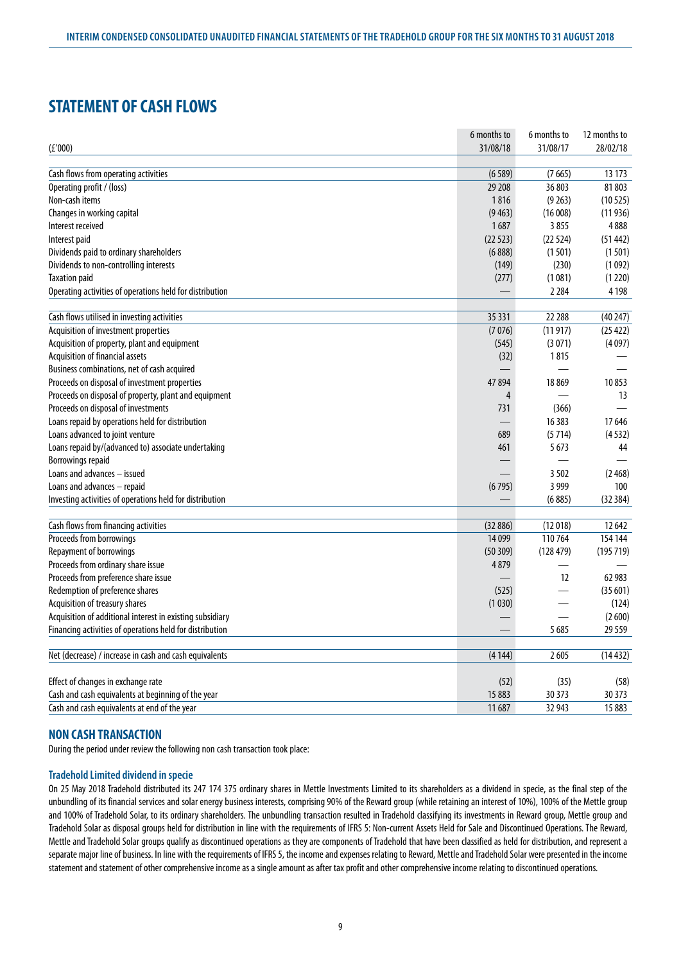# **STATEMENT OF CASH FLOWS**

| 31/08/18<br>31/08/17<br>28/02/18<br>(E'000)<br>Cash flows from operating activities<br>(7665)<br>13 173<br>(6589)<br>Operating profit / (loss)<br>29 208<br>36 803<br>81803<br>Non-cash items<br>1816<br>(9263)<br>(10525)<br>Changes in working capital<br>(9463)<br>(16008)<br>(11936)<br>1687<br>Interest received<br>3855<br>4888<br>(22523)<br>(22524)<br>Interest paid<br>(51442)<br>Dividends paid to ordinary shareholders<br>(6888)<br>(1501)<br>(1501)<br>Dividends to non-controlling interests<br>(230)<br>(149)<br>(1092)<br><b>Taxation paid</b><br>(277)<br>(1081)<br>(1220)<br>2 2 8 4<br>4 1 9 8<br>Operating activities of operations held for distribution<br>35 331<br>22 288<br>Cash flows utilised in investing activities<br>(40247)<br>Acquisition of investment properties<br>(7076)<br>(25 422)<br>(11917)<br>Acquisition of property, plant and equipment<br>(545)<br>(3071)<br>(4097)<br>Acquisition of financial assets<br>(32)<br>1815<br>Business combinations, net of cash acquired<br>Proceeds on disposal of investment properties<br>47 894<br>18869<br>10853<br>Proceeds on disposal of property, plant and equipment<br>13<br>4<br>Proceeds on disposal of investments<br>731<br>(366)<br>Loans repaid by operations held for distribution<br>16 3 8 3<br>17646<br>Loans advanced to joint venture<br>(5714)<br>689<br>(4532)<br>5673<br>Loans repaid by/(advanced to) associate undertaking<br>461<br>44<br><b>Borrowings repaid</b><br>Loans and advances - issued<br>3502<br>(2468)<br>3 9 9 9<br>Loans and advances - repaid<br>(6795)<br>100<br>Investing activities of operations held for distribution<br>(6885)<br>(32384)<br>Cash flows from financing activities<br>(32886)<br>(12018)<br>12 642<br>Proceeds from borrowings<br>110764<br>14 0 99<br>154 144<br>Repayment of borrowings<br>(50309)<br>(128479)<br>(195719)<br>Proceeds from ordinary share issue<br>4879<br>$\overline{\phantom{0}}$<br>Proceeds from preference share issue<br>12<br>62 983<br>Redemption of preference shares<br>(525)<br>(35601)<br>Acquisition of treasury shares<br>(1030)<br>(124)<br>Acquisition of additional interest in existing subsidiary<br>(2600)<br>Financing activities of operations held for distribution<br>5685<br>29 5 5 9<br>Net (decrease) / increase in cash and cash equivalents<br>2605<br>(4144)<br>(14432)<br>Effect of changes in exchange rate<br>(52)<br>(35)<br>(58)<br>Cash and cash equivalents at beginning of the year<br>15 883<br>30 37 3<br>30 373 |                                              | 6 months to | 6 months to | 12 months to |
|--------------------------------------------------------------------------------------------------------------------------------------------------------------------------------------------------------------------------------------------------------------------------------------------------------------------------------------------------------------------------------------------------------------------------------------------------------------------------------------------------------------------------------------------------------------------------------------------------------------------------------------------------------------------------------------------------------------------------------------------------------------------------------------------------------------------------------------------------------------------------------------------------------------------------------------------------------------------------------------------------------------------------------------------------------------------------------------------------------------------------------------------------------------------------------------------------------------------------------------------------------------------------------------------------------------------------------------------------------------------------------------------------------------------------------------------------------------------------------------------------------------------------------------------------------------------------------------------------------------------------------------------------------------------------------------------------------------------------------------------------------------------------------------------------------------------------------------------------------------------------------------------------------------------------------------------------------------------------------------------------------------------------------------------------------------------------------------------------------------------------------------------------------------------------------------------------------------------------------------------------------------------------------------------------------------------------------------------------------------------------------------------------------------------------------------------------------------------------------------------------------------------------|----------------------------------------------|-------------|-------------|--------------|
|                                                                                                                                                                                                                                                                                                                                                                                                                                                                                                                                                                                                                                                                                                                                                                                                                                                                                                                                                                                                                                                                                                                                                                                                                                                                                                                                                                                                                                                                                                                                                                                                                                                                                                                                                                                                                                                                                                                                                                                                                                                                                                                                                                                                                                                                                                                                                                                                                                                                                                                          |                                              |             |             |              |
|                                                                                                                                                                                                                                                                                                                                                                                                                                                                                                                                                                                                                                                                                                                                                                                                                                                                                                                                                                                                                                                                                                                                                                                                                                                                                                                                                                                                                                                                                                                                                                                                                                                                                                                                                                                                                                                                                                                                                                                                                                                                                                                                                                                                                                                                                                                                                                                                                                                                                                                          |                                              |             |             |              |
|                                                                                                                                                                                                                                                                                                                                                                                                                                                                                                                                                                                                                                                                                                                                                                                                                                                                                                                                                                                                                                                                                                                                                                                                                                                                                                                                                                                                                                                                                                                                                                                                                                                                                                                                                                                                                                                                                                                                                                                                                                                                                                                                                                                                                                                                                                                                                                                                                                                                                                                          |                                              |             |             |              |
|                                                                                                                                                                                                                                                                                                                                                                                                                                                                                                                                                                                                                                                                                                                                                                                                                                                                                                                                                                                                                                                                                                                                                                                                                                                                                                                                                                                                                                                                                                                                                                                                                                                                                                                                                                                                                                                                                                                                                                                                                                                                                                                                                                                                                                                                                                                                                                                                                                                                                                                          |                                              |             |             |              |
|                                                                                                                                                                                                                                                                                                                                                                                                                                                                                                                                                                                                                                                                                                                                                                                                                                                                                                                                                                                                                                                                                                                                                                                                                                                                                                                                                                                                                                                                                                                                                                                                                                                                                                                                                                                                                                                                                                                                                                                                                                                                                                                                                                                                                                                                                                                                                                                                                                                                                                                          |                                              |             |             |              |
|                                                                                                                                                                                                                                                                                                                                                                                                                                                                                                                                                                                                                                                                                                                                                                                                                                                                                                                                                                                                                                                                                                                                                                                                                                                                                                                                                                                                                                                                                                                                                                                                                                                                                                                                                                                                                                                                                                                                                                                                                                                                                                                                                                                                                                                                                                                                                                                                                                                                                                                          |                                              |             |             |              |
|                                                                                                                                                                                                                                                                                                                                                                                                                                                                                                                                                                                                                                                                                                                                                                                                                                                                                                                                                                                                                                                                                                                                                                                                                                                                                                                                                                                                                                                                                                                                                                                                                                                                                                                                                                                                                                                                                                                                                                                                                                                                                                                                                                                                                                                                                                                                                                                                                                                                                                                          |                                              |             |             |              |
|                                                                                                                                                                                                                                                                                                                                                                                                                                                                                                                                                                                                                                                                                                                                                                                                                                                                                                                                                                                                                                                                                                                                                                                                                                                                                                                                                                                                                                                                                                                                                                                                                                                                                                                                                                                                                                                                                                                                                                                                                                                                                                                                                                                                                                                                                                                                                                                                                                                                                                                          |                                              |             |             |              |
|                                                                                                                                                                                                                                                                                                                                                                                                                                                                                                                                                                                                                                                                                                                                                                                                                                                                                                                                                                                                                                                                                                                                                                                                                                                                                                                                                                                                                                                                                                                                                                                                                                                                                                                                                                                                                                                                                                                                                                                                                                                                                                                                                                                                                                                                                                                                                                                                                                                                                                                          |                                              |             |             |              |
|                                                                                                                                                                                                                                                                                                                                                                                                                                                                                                                                                                                                                                                                                                                                                                                                                                                                                                                                                                                                                                                                                                                                                                                                                                                                                                                                                                                                                                                                                                                                                                                                                                                                                                                                                                                                                                                                                                                                                                                                                                                                                                                                                                                                                                                                                                                                                                                                                                                                                                                          |                                              |             |             |              |
|                                                                                                                                                                                                                                                                                                                                                                                                                                                                                                                                                                                                                                                                                                                                                                                                                                                                                                                                                                                                                                                                                                                                                                                                                                                                                                                                                                                                                                                                                                                                                                                                                                                                                                                                                                                                                                                                                                                                                                                                                                                                                                                                                                                                                                                                                                                                                                                                                                                                                                                          |                                              |             |             |              |
|                                                                                                                                                                                                                                                                                                                                                                                                                                                                                                                                                                                                                                                                                                                                                                                                                                                                                                                                                                                                                                                                                                                                                                                                                                                                                                                                                                                                                                                                                                                                                                                                                                                                                                                                                                                                                                                                                                                                                                                                                                                                                                                                                                                                                                                                                                                                                                                                                                                                                                                          |                                              |             |             |              |
|                                                                                                                                                                                                                                                                                                                                                                                                                                                                                                                                                                                                                                                                                                                                                                                                                                                                                                                                                                                                                                                                                                                                                                                                                                                                                                                                                                                                                                                                                                                                                                                                                                                                                                                                                                                                                                                                                                                                                                                                                                                                                                                                                                                                                                                                                                                                                                                                                                                                                                                          |                                              |             |             |              |
|                                                                                                                                                                                                                                                                                                                                                                                                                                                                                                                                                                                                                                                                                                                                                                                                                                                                                                                                                                                                                                                                                                                                                                                                                                                                                                                                                                                                                                                                                                                                                                                                                                                                                                                                                                                                                                                                                                                                                                                                                                                                                                                                                                                                                                                                                                                                                                                                                                                                                                                          |                                              |             |             |              |
|                                                                                                                                                                                                                                                                                                                                                                                                                                                                                                                                                                                                                                                                                                                                                                                                                                                                                                                                                                                                                                                                                                                                                                                                                                                                                                                                                                                                                                                                                                                                                                                                                                                                                                                                                                                                                                                                                                                                                                                                                                                                                                                                                                                                                                                                                                                                                                                                                                                                                                                          |                                              |             |             |              |
|                                                                                                                                                                                                                                                                                                                                                                                                                                                                                                                                                                                                                                                                                                                                                                                                                                                                                                                                                                                                                                                                                                                                                                                                                                                                                                                                                                                                                                                                                                                                                                                                                                                                                                                                                                                                                                                                                                                                                                                                                                                                                                                                                                                                                                                                                                                                                                                                                                                                                                                          |                                              |             |             |              |
|                                                                                                                                                                                                                                                                                                                                                                                                                                                                                                                                                                                                                                                                                                                                                                                                                                                                                                                                                                                                                                                                                                                                                                                                                                                                                                                                                                                                                                                                                                                                                                                                                                                                                                                                                                                                                                                                                                                                                                                                                                                                                                                                                                                                                                                                                                                                                                                                                                                                                                                          |                                              |             |             |              |
|                                                                                                                                                                                                                                                                                                                                                                                                                                                                                                                                                                                                                                                                                                                                                                                                                                                                                                                                                                                                                                                                                                                                                                                                                                                                                                                                                                                                                                                                                                                                                                                                                                                                                                                                                                                                                                                                                                                                                                                                                                                                                                                                                                                                                                                                                                                                                                                                                                                                                                                          |                                              |             |             |              |
|                                                                                                                                                                                                                                                                                                                                                                                                                                                                                                                                                                                                                                                                                                                                                                                                                                                                                                                                                                                                                                                                                                                                                                                                                                                                                                                                                                                                                                                                                                                                                                                                                                                                                                                                                                                                                                                                                                                                                                                                                                                                                                                                                                                                                                                                                                                                                                                                                                                                                                                          |                                              |             |             |              |
|                                                                                                                                                                                                                                                                                                                                                                                                                                                                                                                                                                                                                                                                                                                                                                                                                                                                                                                                                                                                                                                                                                                                                                                                                                                                                                                                                                                                                                                                                                                                                                                                                                                                                                                                                                                                                                                                                                                                                                                                                                                                                                                                                                                                                                                                                                                                                                                                                                                                                                                          |                                              |             |             |              |
|                                                                                                                                                                                                                                                                                                                                                                                                                                                                                                                                                                                                                                                                                                                                                                                                                                                                                                                                                                                                                                                                                                                                                                                                                                                                                                                                                                                                                                                                                                                                                                                                                                                                                                                                                                                                                                                                                                                                                                                                                                                                                                                                                                                                                                                                                                                                                                                                                                                                                                                          |                                              |             |             |              |
|                                                                                                                                                                                                                                                                                                                                                                                                                                                                                                                                                                                                                                                                                                                                                                                                                                                                                                                                                                                                                                                                                                                                                                                                                                                                                                                                                                                                                                                                                                                                                                                                                                                                                                                                                                                                                                                                                                                                                                                                                                                                                                                                                                                                                                                                                                                                                                                                                                                                                                                          |                                              |             |             |              |
|                                                                                                                                                                                                                                                                                                                                                                                                                                                                                                                                                                                                                                                                                                                                                                                                                                                                                                                                                                                                                                                                                                                                                                                                                                                                                                                                                                                                                                                                                                                                                                                                                                                                                                                                                                                                                                                                                                                                                                                                                                                                                                                                                                                                                                                                                                                                                                                                                                                                                                                          |                                              |             |             |              |
|                                                                                                                                                                                                                                                                                                                                                                                                                                                                                                                                                                                                                                                                                                                                                                                                                                                                                                                                                                                                                                                                                                                                                                                                                                                                                                                                                                                                                                                                                                                                                                                                                                                                                                                                                                                                                                                                                                                                                                                                                                                                                                                                                                                                                                                                                                                                                                                                                                                                                                                          |                                              |             |             |              |
|                                                                                                                                                                                                                                                                                                                                                                                                                                                                                                                                                                                                                                                                                                                                                                                                                                                                                                                                                                                                                                                                                                                                                                                                                                                                                                                                                                                                                                                                                                                                                                                                                                                                                                                                                                                                                                                                                                                                                                                                                                                                                                                                                                                                                                                                                                                                                                                                                                                                                                                          |                                              |             |             |              |
|                                                                                                                                                                                                                                                                                                                                                                                                                                                                                                                                                                                                                                                                                                                                                                                                                                                                                                                                                                                                                                                                                                                                                                                                                                                                                                                                                                                                                                                                                                                                                                                                                                                                                                                                                                                                                                                                                                                                                                                                                                                                                                                                                                                                                                                                                                                                                                                                                                                                                                                          |                                              |             |             |              |
|                                                                                                                                                                                                                                                                                                                                                                                                                                                                                                                                                                                                                                                                                                                                                                                                                                                                                                                                                                                                                                                                                                                                                                                                                                                                                                                                                                                                                                                                                                                                                                                                                                                                                                                                                                                                                                                                                                                                                                                                                                                                                                                                                                                                                                                                                                                                                                                                                                                                                                                          |                                              |             |             |              |
|                                                                                                                                                                                                                                                                                                                                                                                                                                                                                                                                                                                                                                                                                                                                                                                                                                                                                                                                                                                                                                                                                                                                                                                                                                                                                                                                                                                                                                                                                                                                                                                                                                                                                                                                                                                                                                                                                                                                                                                                                                                                                                                                                                                                                                                                                                                                                                                                                                                                                                                          |                                              |             |             |              |
|                                                                                                                                                                                                                                                                                                                                                                                                                                                                                                                                                                                                                                                                                                                                                                                                                                                                                                                                                                                                                                                                                                                                                                                                                                                                                                                                                                                                                                                                                                                                                                                                                                                                                                                                                                                                                                                                                                                                                                                                                                                                                                                                                                                                                                                                                                                                                                                                                                                                                                                          |                                              |             |             |              |
|                                                                                                                                                                                                                                                                                                                                                                                                                                                                                                                                                                                                                                                                                                                                                                                                                                                                                                                                                                                                                                                                                                                                                                                                                                                                                                                                                                                                                                                                                                                                                                                                                                                                                                                                                                                                                                                                                                                                                                                                                                                                                                                                                                                                                                                                                                                                                                                                                                                                                                                          |                                              |             |             |              |
|                                                                                                                                                                                                                                                                                                                                                                                                                                                                                                                                                                                                                                                                                                                                                                                                                                                                                                                                                                                                                                                                                                                                                                                                                                                                                                                                                                                                                                                                                                                                                                                                                                                                                                                                                                                                                                                                                                                                                                                                                                                                                                                                                                                                                                                                                                                                                                                                                                                                                                                          |                                              |             |             |              |
|                                                                                                                                                                                                                                                                                                                                                                                                                                                                                                                                                                                                                                                                                                                                                                                                                                                                                                                                                                                                                                                                                                                                                                                                                                                                                                                                                                                                                                                                                                                                                                                                                                                                                                                                                                                                                                                                                                                                                                                                                                                                                                                                                                                                                                                                                                                                                                                                                                                                                                                          |                                              |             |             |              |
|                                                                                                                                                                                                                                                                                                                                                                                                                                                                                                                                                                                                                                                                                                                                                                                                                                                                                                                                                                                                                                                                                                                                                                                                                                                                                                                                                                                                                                                                                                                                                                                                                                                                                                                                                                                                                                                                                                                                                                                                                                                                                                                                                                                                                                                                                                                                                                                                                                                                                                                          |                                              |             |             |              |
|                                                                                                                                                                                                                                                                                                                                                                                                                                                                                                                                                                                                                                                                                                                                                                                                                                                                                                                                                                                                                                                                                                                                                                                                                                                                                                                                                                                                                                                                                                                                                                                                                                                                                                                                                                                                                                                                                                                                                                                                                                                                                                                                                                                                                                                                                                                                                                                                                                                                                                                          |                                              |             |             |              |
|                                                                                                                                                                                                                                                                                                                                                                                                                                                                                                                                                                                                                                                                                                                                                                                                                                                                                                                                                                                                                                                                                                                                                                                                                                                                                                                                                                                                                                                                                                                                                                                                                                                                                                                                                                                                                                                                                                                                                                                                                                                                                                                                                                                                                                                                                                                                                                                                                                                                                                                          |                                              |             |             |              |
|                                                                                                                                                                                                                                                                                                                                                                                                                                                                                                                                                                                                                                                                                                                                                                                                                                                                                                                                                                                                                                                                                                                                                                                                                                                                                                                                                                                                                                                                                                                                                                                                                                                                                                                                                                                                                                                                                                                                                                                                                                                                                                                                                                                                                                                                                                                                                                                                                                                                                                                          |                                              |             |             |              |
|                                                                                                                                                                                                                                                                                                                                                                                                                                                                                                                                                                                                                                                                                                                                                                                                                                                                                                                                                                                                                                                                                                                                                                                                                                                                                                                                                                                                                                                                                                                                                                                                                                                                                                                                                                                                                                                                                                                                                                                                                                                                                                                                                                                                                                                                                                                                                                                                                                                                                                                          |                                              |             |             |              |
|                                                                                                                                                                                                                                                                                                                                                                                                                                                                                                                                                                                                                                                                                                                                                                                                                                                                                                                                                                                                                                                                                                                                                                                                                                                                                                                                                                                                                                                                                                                                                                                                                                                                                                                                                                                                                                                                                                                                                                                                                                                                                                                                                                                                                                                                                                                                                                                                                                                                                                                          |                                              |             |             |              |
|                                                                                                                                                                                                                                                                                                                                                                                                                                                                                                                                                                                                                                                                                                                                                                                                                                                                                                                                                                                                                                                                                                                                                                                                                                                                                                                                                                                                                                                                                                                                                                                                                                                                                                                                                                                                                                                                                                                                                                                                                                                                                                                                                                                                                                                                                                                                                                                                                                                                                                                          |                                              |             |             |              |
|                                                                                                                                                                                                                                                                                                                                                                                                                                                                                                                                                                                                                                                                                                                                                                                                                                                                                                                                                                                                                                                                                                                                                                                                                                                                                                                                                                                                                                                                                                                                                                                                                                                                                                                                                                                                                                                                                                                                                                                                                                                                                                                                                                                                                                                                                                                                                                                                                                                                                                                          |                                              |             |             |              |
|                                                                                                                                                                                                                                                                                                                                                                                                                                                                                                                                                                                                                                                                                                                                                                                                                                                                                                                                                                                                                                                                                                                                                                                                                                                                                                                                                                                                                                                                                                                                                                                                                                                                                                                                                                                                                                                                                                                                                                                                                                                                                                                                                                                                                                                                                                                                                                                                                                                                                                                          |                                              |             |             |              |
|                                                                                                                                                                                                                                                                                                                                                                                                                                                                                                                                                                                                                                                                                                                                                                                                                                                                                                                                                                                                                                                                                                                                                                                                                                                                                                                                                                                                                                                                                                                                                                                                                                                                                                                                                                                                                                                                                                                                                                                                                                                                                                                                                                                                                                                                                                                                                                                                                                                                                                                          | Cash and cash equivalents at end of the year | 11 687      | 32 943      | 15 883       |

### **NON CASH TRANSACTION**

During the period under review the following non cash transaction took place:

### **Tradehold Limited dividend in specie**

On 25 May 2018 Tradehold distributed its 247 174 375 ordinary shares in Mettle Investments Limited to its shareholders as a dividend in specie, as the final step of the unbundling of its financial services and solar energy business interests, comprising 90% of the Reward group (while retaining an interest of 10%), 100% of the Mettle group and 100% of Tradehold Solar, to its ordinary shareholders. The unbundling transaction resulted in Tradehold classifying its investments in Reward group, Mettle group and Tradehold Solar as disposal groups held for distribution in line with the requirements of IFRS 5: Non-current Assets Held for Sale and Discontinued Operations. The Reward, Mettle and Tradehold Solar groups qualify as discontinued operations as they are components of Tradehold that have been classified as held for distribution, and represent a separate major line of business. In line with the requirements of IFRS 5, the income and expenses relating to Reward, Mettle and Tradehold Solar were presented in the income statement and statement of other comprehensive income as a single amount as after tax profit and other comprehensive income relating to discontinued operations.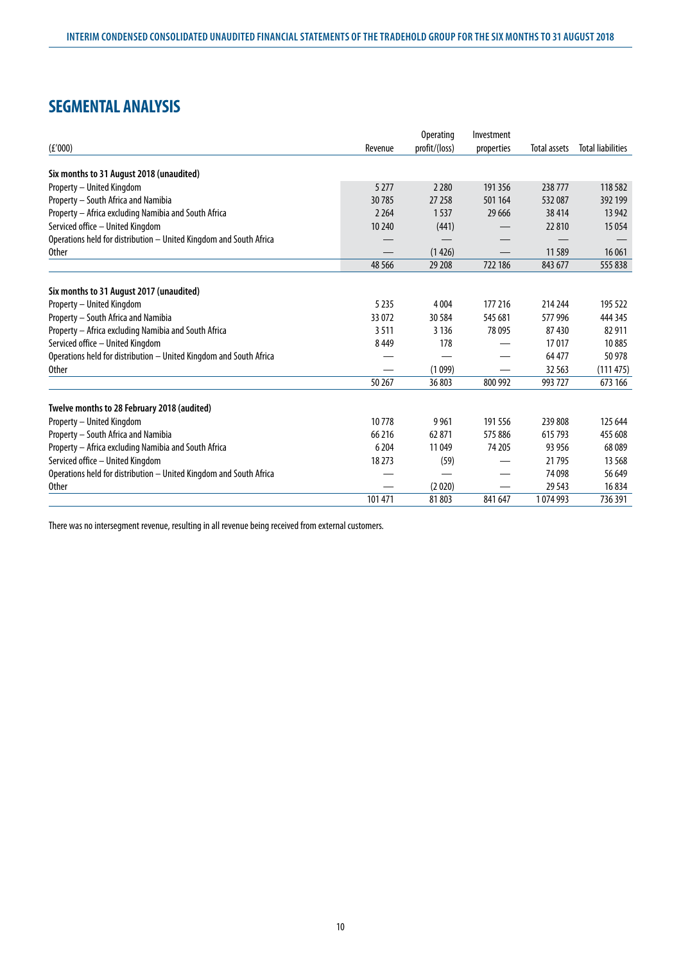# **SEGMENTAL ANALYSIS**

|                                                                    |         | <b>Operating</b> | Investment |              |                          |
|--------------------------------------------------------------------|---------|------------------|------------|--------------|--------------------------|
| (E'000)                                                            | Revenue | profit/(loss)    | properties | Total assets | <b>Total liabilities</b> |
| Six months to 31 August 2018 (unaudited)                           |         |                  |            |              |                          |
| Property - United Kingdom                                          | 5 2 7 7 | 2 2 8 0          | 191 356    | 238777       | 118 5 82                 |
| Property - South Africa and Namibia                                | 30785   | 27 258           | 501 164    | 532087       | 392 199                  |
| Property - Africa excluding Namibia and South Africa               | 2 2 6 4 | 1537             | 29 6 66    | 38414        | 13 9 42                  |
| Serviced office - United Kingdom                                   | 10 240  | (441)            |            | 22810        | 15 0 54                  |
| Operations held for distribution - United Kingdom and South Africa |         |                  |            |              |                          |
| <b>Other</b>                                                       |         | (1426)           |            | 11589        | 16 061                   |
|                                                                    | 48 5 66 | 29 208           | 722 186    | 843 677      | 555 838                  |
|                                                                    |         |                  |            |              |                          |
| Six months to 31 August 2017 (unaudited)                           |         |                  |            |              |                          |
| Property - United Kingdom                                          | 5 2 3 5 | 4 0 0 4          | 177 216    | 214 244      | 195 522                  |
| Property - South Africa and Namibia                                | 33 072  | 30 5 84          | 545 681    | 577996       | 444 345                  |
| Property - Africa excluding Namibia and South Africa               | 3511    | 3 1 3 6          | 78 0 95    | 87430        | 82 911                   |
| Serviced office - United Kingdom                                   | 8449    | 178              |            | 17017        | 10885                    |
| Operations held for distribution - United Kingdom and South Africa |         |                  |            | 64 477       | 50 978                   |
| <b>Other</b>                                                       |         | (1099)           |            | 32 5 63      | (111475)                 |
|                                                                    | 50 267  | 36 803           | 800 992    | 993 727      | 673 166                  |
| Twelve months to 28 February 2018 (audited)                        |         |                  |            |              |                          |
| Property - United Kingdom                                          | 10778   | 9961             | 191556     | 239 808      | 125 644                  |
| Property - South Africa and Namibia                                | 66 216  | 62 871           | 575886     | 615 793      | 455 608                  |
| Property - Africa excluding Namibia and South Africa               | 6 204   | 11 049           | 74 205     | 93 956       | 68 0 89                  |
| Serviced office - United Kingdom                                   | 18 273  | (59)             |            | 21795        | 13 5 68                  |
| Operations held for distribution - United Kingdom and South Africa |         |                  |            | 74 098       | 56 649                   |
| <b>Other</b>                                                       |         | (2020)           |            | 29 5 43      | 16834                    |
|                                                                    | 101 471 | 81803            | 841 647    | 1074993      | 736 391                  |

There was no intersegment revenue, resulting in all revenue being received from external customers.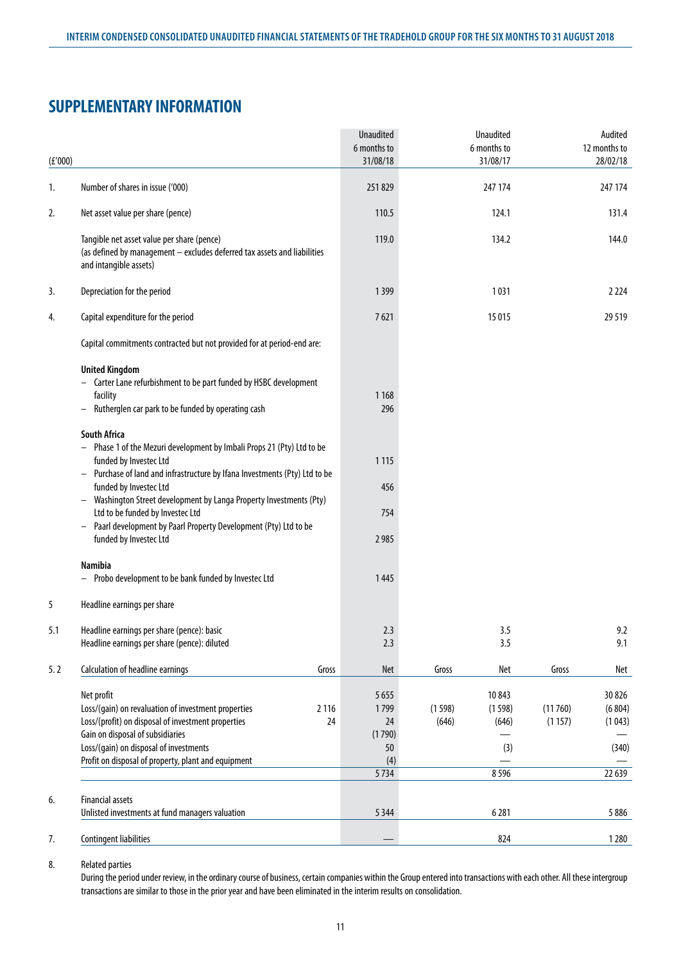# **SUPPLEMENTARY INFORMATION**

|         |                                                                                                                                                                                                                                                                               | <b>Unaudited</b><br>6 months to              | <b>Unaudited</b><br>6 months to                    | Audited<br>12 months to                                 |
|---------|-------------------------------------------------------------------------------------------------------------------------------------------------------------------------------------------------------------------------------------------------------------------------------|----------------------------------------------|----------------------------------------------------|---------------------------------------------------------|
| (f'000) |                                                                                                                                                                                                                                                                               | 31/08/18                                     | 31/08/17                                           | 28/02/18                                                |
| 1.      | Number of shares in issue ('000)                                                                                                                                                                                                                                              | 251829                                       | 247 174                                            | 247 174                                                 |
| 2.      | Net asset value per share (pence)                                                                                                                                                                                                                                             | 110.5                                        | 124.1                                              | 131.4                                                   |
|         | Tangible net asset value per share (pence)<br>(as defined by management - excludes deferred tax assets and liabilities<br>and intangible assets)                                                                                                                              | 119.0                                        | 134.2                                              | 144.0                                                   |
| 3.      | Depreciation for the period                                                                                                                                                                                                                                                   | 1399                                         | 1031                                               | 2 2 2 4                                                 |
| 4.      | Capital expenditure for the period                                                                                                                                                                                                                                            | 7621                                         | 15 0 15                                            | 29 5 19                                                 |
|         | Capital commitments contracted but not provided for at period-end are:                                                                                                                                                                                                        |                                              |                                                    |                                                         |
|         | <b>United Kingdom</b><br>Carter Lane refurbishment to be part funded by HSBC development<br>facility<br>Rutherglen car park to be funded by operating cash                                                                                                                    | 1 1 6 8<br>296                               |                                                    |                                                         |
|         | <b>South Africa</b><br>Phase 1 of the Mezuri development by Imbali Props 21 (Pty) Ltd to be<br>funded by Investec Ltd<br>Purchase of land and infrastructure by Ifana Investments (Pty) Ltd to be                                                                             | 1115                                         |                                                    |                                                         |
|         | funded by Investec Ltd<br>Washington Street development by Langa Property Investments (Pty)<br>Ltd to be funded by Investec Ltd                                                                                                                                               | 456<br>754                                   |                                                    |                                                         |
|         | Paarl development by Paarl Property Development (Pty) Ltd to be<br>$\overline{\phantom{m}}$<br>funded by Investec Ltd                                                                                                                                                         | 2 9 8 5                                      |                                                    |                                                         |
|         | <b>Namibia</b><br>Probo development to be bank funded by Investec Ltd                                                                                                                                                                                                         | 1445                                         |                                                    |                                                         |
| 5       | Headline earnings per share                                                                                                                                                                                                                                                   |                                              |                                                    |                                                         |
| 5.1     | Headline earnings per share (pence): basic<br>Headline earnings per share (pence): diluted                                                                                                                                                                                    | 2.3<br>2.3                                   | 3.5<br>3.5                                         | 9.2<br>9.1                                              |
| 5.2     | Calculation of headline earnings<br>Gross                                                                                                                                                                                                                                     | Net                                          | Gross<br>Net                                       | Gross<br>Net                                            |
|         | Net profit<br>Loss/(gain) on revaluation of investment properties<br>2 1 1 6<br>Loss/(profit) on disposal of investment properties<br>24<br>Gain on disposal of subsidiaries<br>Loss/(gain) on disposal of investments<br>Profit on disposal of property, plant and equipment | 5 6 5 5<br>1799<br>24<br>(1790)<br>50<br>(4) | 10843<br>(1598)<br>(1598)<br>(646)<br>(646)<br>(3) | 30826<br>(11760)<br>(6804)<br>(1157)<br>(1043)<br>(340) |
|         |                                                                                                                                                                                                                                                                               | 5734                                         | 8596                                               | 22 639                                                  |
| 6.      | <b>Financial assets</b><br>Unlisted investments at fund managers valuation                                                                                                                                                                                                    | 5 3 4 4                                      | 6281                                               | 5886                                                    |
| 7.      | <b>Contingent liabilities</b>                                                                                                                                                                                                                                                 |                                              | 824                                                | 1280                                                    |

8. Related parties

During the period under review, in the ordinary course of business, certain companies within the Group entered into transactions with each other. All these intergroup transactions are similar to those in the prior year and have been eliminated in the interim results on consolidation.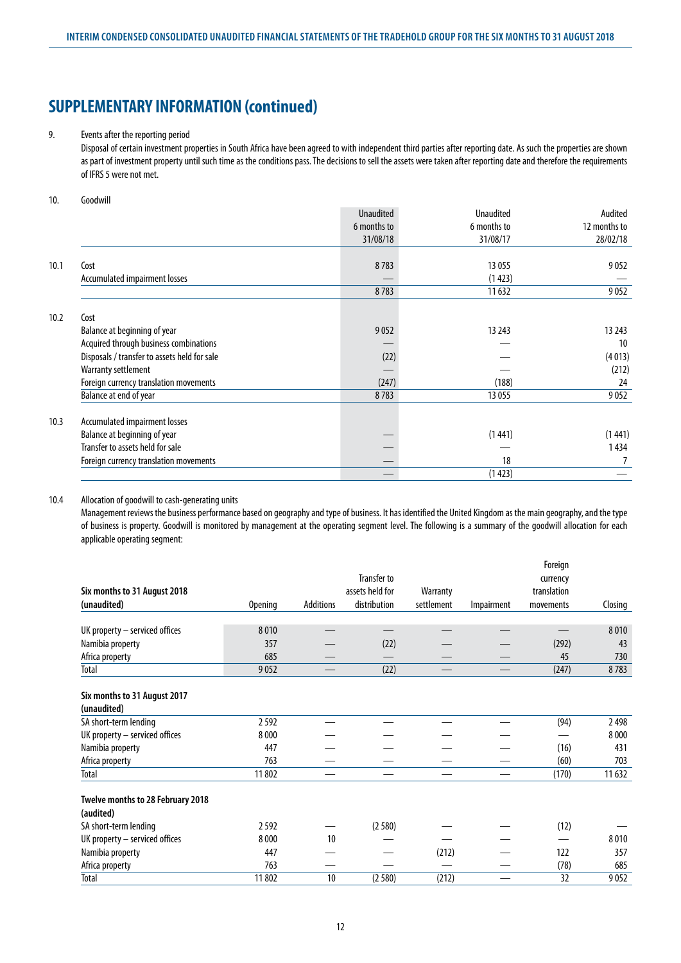### 9. Events after the reporting period

Disposal of certain investment properties in South Africa have been agreed to with independent third parties after reporting date. As such the properties are shown as part of investment property until such time as the conditions pass. The decisions to sell the assets were taken after reporting date and therefore the requirements of IFRS 5 were not met.

### 10. Goodwill

|      |                                              | <b>Unaudited</b> | <b>Unaudited</b> | Audited      |
|------|----------------------------------------------|------------------|------------------|--------------|
|      |                                              | 6 months to      | 6 months to      | 12 months to |
|      |                                              | 31/08/18         | 31/08/17         | 28/02/18     |
| 10.1 | Cost                                         | 8783             | 13 0 55          | 9052         |
|      | Accumulated impairment losses                |                  | (1423)           |              |
|      |                                              | 8783             | 11 632           | 9052         |
| 10.2 | Cost                                         |                  |                  |              |
|      | Balance at beginning of year                 | 9052             | 13 24 3          | 13 243       |
|      | Acquired through business combinations       |                  |                  | 10           |
|      | Disposals / transfer to assets held for sale | (22)             |                  | (4013)       |
|      | Warranty settlement                          |                  |                  | (212)        |
|      | Foreign currency translation movements       | (247)            | (188)            | 24           |
|      | Balance at end of year                       | 8783             | 13 0 55          | 9052         |
| 10.3 | Accumulated impairment losses                |                  |                  |              |
|      | Balance at beginning of year                 |                  | (1441)           | (1 441)      |
|      | Transfer to assets held for sale             |                  |                  | 1 434        |
|      | Foreign currency translation movements       |                  | 18               |              |
|      |                                              |                  | (1423)           |              |

### 10.4 Allocation of goodwill to cash-generating units

Management reviews the business performance based on geography and type of business. It has identified the United Kingdom as the main geography, and the type of business is property. Goodwill is monitored by management at the operating segment level. The following is a summary of the goodwill allocation for each applicable operating segment:

|                                             |                |                  |                    |            |            | Foreign     |         |
|---------------------------------------------|----------------|------------------|--------------------|------------|------------|-------------|---------|
|                                             |                |                  | <b>Transfer to</b> |            |            | currency    |         |
| Six months to 31 August 2018                |                |                  | assets held for    | Warranty   |            | translation |         |
| (unaudited)                                 | <b>Opening</b> | <b>Additions</b> | distribution       | settlement | Impairment | movements   | Closing |
|                                             |                |                  |                    |            |            |             |         |
| UK property $-$ serviced offices            | 8010           |                  |                    |            |            |             | 8010    |
| Namibia property                            | 357            |                  | (22)               |            |            | (292)       | 43      |
| Africa property                             | 685            |                  |                    |            |            | 45          | 730     |
| Total                                       | 9052           |                  | (22)               |            |            | (247)       | 8783    |
|                                             |                |                  |                    |            |            |             |         |
| Six months to 31 August 2017<br>(unaudited) |                |                  |                    |            |            |             |         |
| SA short-term lending                       | 2592           |                  |                    |            |            | (94)        | 2498    |
| UK property - serviced offices              | 8000           |                  |                    |            |            |             | 8 0 0 0 |
|                                             |                |                  |                    |            |            |             |         |
| Namibia property                            | 447            |                  |                    |            |            | (16)        | 431     |
| Africa property                             | 763            |                  |                    |            |            | (60)        | 703     |
| Total                                       | 11802          |                  |                    |            |            | (170)       | 11 632  |
| Twelve months to 28 February 2018           |                |                  |                    |            |            |             |         |
| (audited)                                   |                |                  |                    |            |            |             |         |
| SA short-term lending                       | 2592           |                  | (2580)             |            |            | (12)        |         |
| UK property - serviced offices              | 8000           | 10               |                    |            |            |             | 8010    |
| Namibia property                            | 447            |                  |                    | (212)      |            | 122         | 357     |
|                                             | 763            |                  |                    |            |            | (78)        | 685     |
| Africa property                             |                |                  |                    |            |            |             |         |
| Total                                       | 11 802         | 10               | (2580)             | (212)      |            | 32          | 9052    |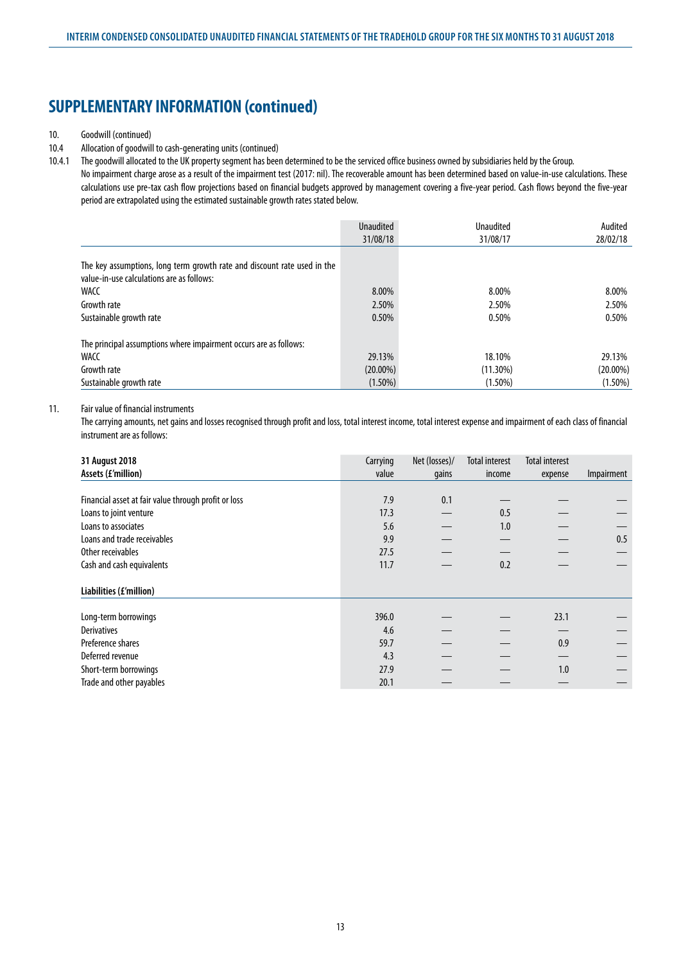### 10. Goodwill (continued)

### 10.4 Allocation of goodwill to cash-generating units (continued)

10.4.1 The goodwill allocated to the UK property segment has been determined to be the serviced office business owned by subsidiaries held by the Group. No impairment charge arose as a result of the impairment test (2017: nil). The recoverable amount has been determined based on value-in-use calculations. These calculations use pre-tax cash flow projections based on financial budgets approved by management covering a five-year period. Cash flows beyond the five-year period are extrapolated using the estimated sustainable growth rates stated below.

|                                                                                                                       | <b>Unaudited</b> | Unaudited   | Audited     |
|-----------------------------------------------------------------------------------------------------------------------|------------------|-------------|-------------|
|                                                                                                                       | 31/08/18         | 31/08/17    | 28/02/18    |
| The key assumptions, long term growth rate and discount rate used in the<br>value-in-use calculations are as follows: |                  |             |             |
| WACC                                                                                                                  | 8.00%            | 8.00%       | 8.00%       |
| Growth rate                                                                                                           | 2.50%            | 2.50%       | 2.50%       |
| Sustainable growth rate                                                                                               | 0.50%            | 0.50%       | 0.50%       |
| The principal assumptions where impairment occurs are as follows:                                                     |                  |             |             |
| WACC                                                                                                                  | 29.13%           | 18.10%      | 29.13%      |
| Growth rate                                                                                                           | $(20.00\%)$      | $(11.30\%)$ | $(20.00\%)$ |
| Sustainable growth rate                                                                                               | $(1.50\%)$       | $(1.50\%)$  | $(1.50\%)$  |

### 11. Fair value of financial instruments

The carrying amounts, net gains and losses recognised through profit and loss, total interest income, total interest expense and impairment of each class of financial instrument are as follows:

| 31 August 2018<br>Assets (£'million)                 | Carrying<br>value | Net (losses)/<br>gains | <b>Total interest</b><br>income | <b>Total interest</b><br>expense | Impairment |
|------------------------------------------------------|-------------------|------------------------|---------------------------------|----------------------------------|------------|
|                                                      |                   |                        |                                 |                                  |            |
| Financial asset at fair value through profit or loss | 7.9               | 0.1                    |                                 |                                  |            |
| Loans to joint venture                               | 17.3              |                        | 0.5                             |                                  |            |
| Loans to associates                                  | 5.6               |                        | 1.0                             |                                  |            |
| Loans and trade receivables                          | 9.9               |                        |                                 |                                  | 0.5        |
| Other receivables                                    | 27.5              |                        |                                 |                                  |            |
| Cash and cash equivalents                            | 11.7              |                        | 0.2                             |                                  |            |
| Liabilities (£'million)                              |                   |                        |                                 |                                  |            |
| Long-term borrowings                                 | 396.0             |                        |                                 | 23.1                             |            |
| <b>Derivatives</b>                                   | 4.6               |                        |                                 |                                  |            |
| Preference shares                                    | 59.7              |                        |                                 | 0.9                              |            |
| Deferred revenue                                     | 4.3               |                        |                                 |                                  |            |
| Short-term borrowings                                | 27.9              |                        |                                 | 1.0                              |            |
| Trade and other payables                             | 20.1              |                        |                                 |                                  |            |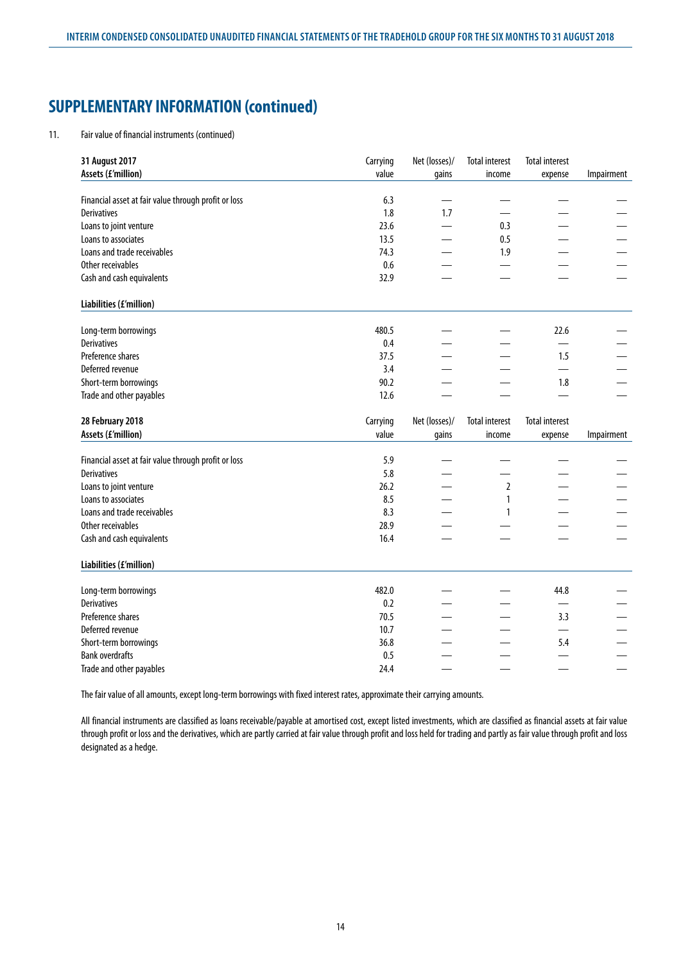#### 11. Fair value of financial instruments (continued)

| 31 August 2017<br>Assets (£'million)                 | Carrying<br>value | Net (losses)/<br>gains | <b>Total interest</b><br>income | <b>Total interest</b><br>expense | Impairment |
|------------------------------------------------------|-------------------|------------------------|---------------------------------|----------------------------------|------------|
| Financial asset at fair value through profit or loss | 6.3               |                        |                                 |                                  |            |
| <b>Derivatives</b>                                   | 1.8               | 1.7                    |                                 |                                  |            |
| Loans to joint venture                               | 23.6              |                        | 0.3                             |                                  |            |
| Loans to associates                                  | 13.5              |                        | 0.5                             |                                  |            |
| Loans and trade receivables                          | 74.3              |                        | 1.9                             |                                  |            |
| Other receivables                                    | 0.6               |                        |                                 |                                  |            |
| Cash and cash equivalents                            | 32.9              |                        |                                 |                                  |            |
| Liabilities (£'million)                              |                   |                        |                                 |                                  |            |
| Long-term borrowings                                 | 480.5             |                        |                                 | 22.6                             |            |
| <b>Derivatives</b>                                   | 0.4               |                        |                                 |                                  |            |
| Preference shares                                    | 37.5              |                        |                                 | 1.5                              |            |
| Deferred revenue                                     | 3.4               |                        |                                 |                                  |            |
| Short-term borrowings                                | 90.2              |                        |                                 | 1.8                              |            |
| Trade and other payables                             | 12.6              |                        |                                 |                                  |            |
|                                                      |                   |                        |                                 |                                  |            |
| 28 February 2018                                     | Carrying          | Net (losses)/          | <b>Total interest</b>           | <b>Total interest</b>            |            |
| Assets (£'million)                                   | value             | gains                  | income                          | expense                          | Impairment |
|                                                      |                   |                        |                                 |                                  |            |
| Financial asset at fair value through profit or loss | 5.9               |                        |                                 |                                  |            |
| <b>Derivatives</b>                                   | 5.8               |                        |                                 |                                  |            |
| Loans to joint venture                               | 26.2              |                        | $\overline{2}$                  |                                  |            |
| Loans to associates                                  | 8.5               |                        | 1                               |                                  |            |
| Loans and trade receivables                          | 8.3               |                        | 1                               |                                  |            |
| Other receivables<br>Cash and cash equivalents       | 28.9<br>16.4      |                        |                                 |                                  |            |
| Liabilities (£'million)                              |                   |                        |                                 |                                  |            |
|                                                      | 482.0             |                        |                                 | 44.8                             |            |
| Long-term borrowings<br><b>Derivatives</b>           | 0.2               |                        |                                 |                                  |            |
| Preference shares                                    | 70.5              |                        |                                 | 3.3                              |            |
| Deferred revenue                                     | 10.7              |                        |                                 |                                  |            |
| Short-term borrowings                                | 36.8              |                        |                                 | 5.4                              |            |
| <b>Bank overdrafts</b><br>Trade and other payables   | 0.5<br>24.4       |                        |                                 |                                  |            |

The fair value of all amounts, except long-term borrowings with fixed interest rates, approximate their carrying amounts.

All financial instruments are classified as loans receivable/payable at amortised cost, except listed investments, which are classified as financial assets at fair value through profit or loss and the derivatives, which are partly carried at fair value through profit and loss held for trading and partly as fair value through profit and loss designated as a hedge.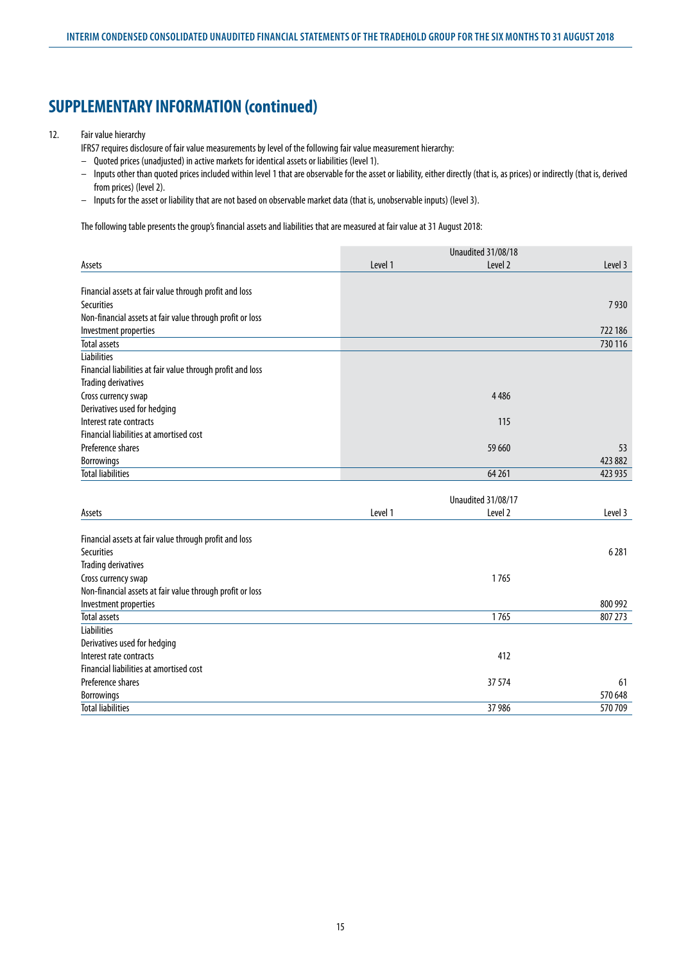## 12. Fair value hierarchy

IFRS7 requires disclosure of fair value measurements by level of the following fair value measurement hierarchy:

- Quoted prices (unadjusted) in active markets for identical assets or liabilities (level 1).
- Inputs other than quoted prices included within level 1 that are observable for the asset or liability, either directly (that is, as prices) or indirectly (that is, derived from prices) (level 2).
- Inputs for the asset or liability that are not based on observable market data (that is, unobservable inputs) (level 3).

The following table presents the group's financial assets and liabilities that are measured at fair value at 31 August 2018:

|                                                             |         | Unaudited 31/08/18 |         |  |
|-------------------------------------------------------------|---------|--------------------|---------|--|
| Assets                                                      | Level 1 | Level 2            | Level 3 |  |
|                                                             |         |                    |         |  |
| Financial assets at fair value through profit and loss      |         |                    |         |  |
| <b>Securities</b>                                           |         |                    | 7930    |  |
| Non-financial assets at fair value through profit or loss   |         |                    |         |  |
| Investment properties                                       |         |                    | 722 186 |  |
| <b>Total assets</b>                                         |         |                    | 730 116 |  |
| <b>Liabilities</b>                                          |         |                    |         |  |
| Financial liabilities at fair value through profit and loss |         |                    |         |  |
| <b>Trading derivatives</b>                                  |         |                    |         |  |
| Cross currency swap                                         |         | 4 4 8 6            |         |  |
| Derivatives used for hedging                                |         |                    |         |  |
| Interest rate contracts                                     |         | 115                |         |  |
| Financial liabilities at amortised cost                     |         |                    |         |  |
| Preference shares                                           |         | 59 660             | 53      |  |
| <b>Borrowings</b>                                           |         |                    | 423 882 |  |
| <b>Total liabilities</b>                                    |         | 64 261             | 423 935 |  |
|                                                             |         |                    |         |  |
|                                                             |         | Unaudited 31/08/17 |         |  |
| Assets                                                      | Level 1 | Level <sub>2</sub> | Level 3 |  |
| Financial assets at fair value through profit and loss      |         |                    |         |  |
| <b>Securities</b>                                           |         |                    | 6281    |  |
| <b>Trading derivatives</b>                                  |         |                    |         |  |
| Cross currency swap                                         |         | 1765               |         |  |
| Non-financial assets at fair value through profit or loss   |         |                    |         |  |
| Investment properties                                       |         |                    | 800 992 |  |
| <b>Total assets</b>                                         |         | 1765               | 807 273 |  |
| Liabilities                                                 |         |                    |         |  |
| Derivatives used for hedging                                |         |                    |         |  |
| Interest rate contracts                                     |         | 412                |         |  |
| Financial liabilities at amortised cost                     |         |                    |         |  |
| Preference shares                                           |         | 37 574             | 61      |  |
| <b>Borrowings</b>                                           |         |                    | 570 648 |  |
| Total liabilities                                           |         | 37 986             | 570709  |  |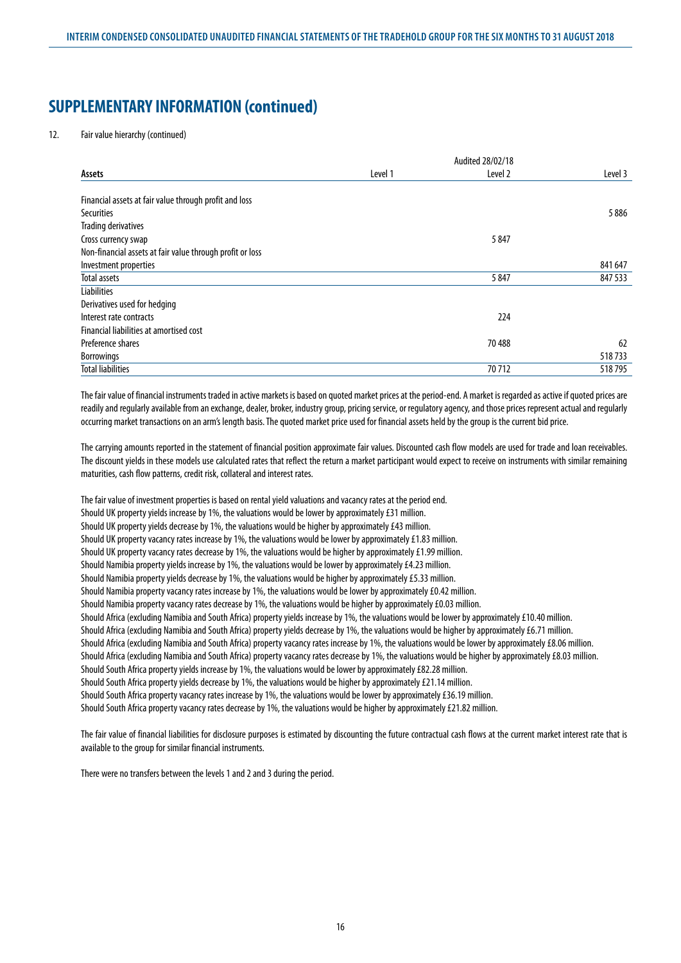12. Fair value hierarchy (continued)

| Assets                                                    | Level 1 | Level 2 | Level 3 |
|-----------------------------------------------------------|---------|---------|---------|
| Financial assets at fair value through profit and loss    |         |         |         |
| <b>Securities</b>                                         |         |         | 5886    |
| <b>Trading derivatives</b>                                |         |         |         |
| Cross currency swap                                       |         | 5847    |         |
| Non-financial assets at fair value through profit or loss |         |         |         |
| Investment properties                                     |         |         | 841 647 |
| Total assets                                              |         | 5847    | 847 533 |
| <b>Liabilities</b>                                        |         |         |         |
| Derivatives used for hedging                              |         |         |         |
| Interest rate contracts                                   |         | 224     |         |
| Financial liabilities at amortised cost                   |         |         |         |
| Preference shares                                         |         | 70 488  | 62      |
| <b>Borrowings</b>                                         |         |         | 518733  |
| <b>Total liabilities</b>                                  |         | 70712   | 518795  |

The fair value of financial instruments traded in active markets is based on quoted market prices at the period-end. A market is regarded as active if quoted prices are readily and regularly available from an exchange, dealer, broker, industry group, pricing service, or regulatory agency, and those prices represent actual and regularly occurring market transactions on an arm's length basis. The quoted market price used for financial assets held by the group is the current bid price.

The carrying amounts reported in the statement of financial position approximate fair values. Discounted cash flow models are used for trade and loan receivables. The discount yields in these models use calculated rates that reflect the return a market participant would expect to receive on instruments with similar remaining maturities, cash flow patterns, credit risk, collateral and interest rates.

The fair value of investment properties is based on rental yield valuations and vacancy rates at the period end. Should UK property yields increase by 1%, the valuations would be lower by approximately £31 million. Should UK property yields decrease by 1%, the valuations would be higher by approximately £43 million. Should UK property vacancy rates increase by 1%, the valuations would be lower by approximately £1.83 million. Should UK property vacancy rates decrease by 1%, the valuations would be higher by approximately £1.99 million. Should Namibia property yields increase by 1%, the valuations would be lower by approximately £4.23 million. Should Namibia property yields decrease by 1%, the valuations would be higher by approximately £5.33 million. Should Namibia property vacancy rates increase by 1%, the valuations would be lower by approximately £0.42 million. Should Namibia property vacancy rates decrease by 1%, the valuations would be higher by approximately £0.03 million. Should Africa (excluding Namibia and South Africa) property yields increase by 1%, the valuations would be lower by approximately £10.40 million. Should Africa (excluding Namibia and South Africa) property yields decrease by 1%, the valuations would be higher by approximately £6.71 million. Should Africa (excluding Namibia and South Africa) property vacancy rates increase by 1%, the valuations would be lower by approximately £8.06 million. Should Africa (excluding Namibia and South Africa) property vacancy rates decrease by 1%, the valuations would be higher by approximately £8.03 million. Should South Africa property yields increase by 1%, the valuations would be lower by approximately £82.28 million. Should South Africa property yields decrease by 1%, the valuations would be higher by approximately £21.14 million. Should South Africa property vacancy rates increase by 1%, the valuations would be lower by approximately £36.19 million. Should South Africa property vacancy rates decrease by 1%, the valuations would be higher by approximately £21.82 million.

The fair value of financial liabilities for disclosure purposes is estimated by discounting the future contractual cash flows at the current market interest rate that is available to the group for similar financial instruments.

There were no transfers between the levels 1 and 2 and 3 during the period.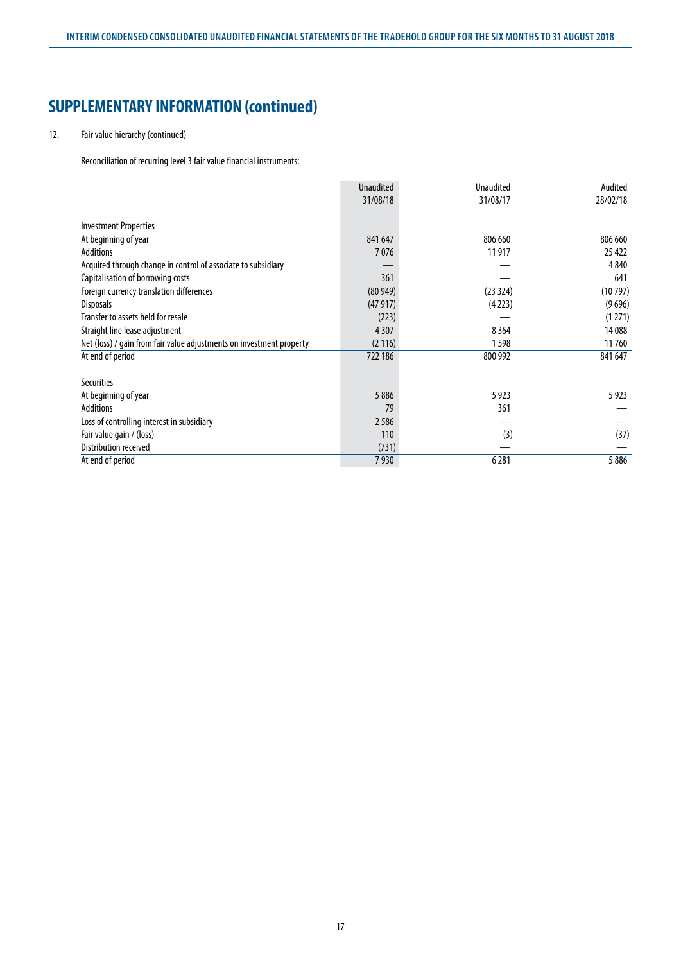# 12. Fair value hierarchy (continued)

Reconciliation of recurring level 3 fair value financial instruments:

|                                                                      | <b>Unaudited</b> | <b>Unaudited</b> | Audited  |
|----------------------------------------------------------------------|------------------|------------------|----------|
|                                                                      | 31/08/18         | 31/08/17         | 28/02/18 |
|                                                                      |                  |                  |          |
| <b>Investment Properties</b>                                         |                  |                  |          |
| At beginning of year                                                 | 841 647          | 806 660          | 806 660  |
| <b>Additions</b>                                                     | 7076             | 11 917           | 25 4 22  |
| Acquired through change in control of associate to subsidiary        |                  |                  | 4 8 4 0  |
| Capitalisation of borrowing costs                                    | 361              |                  | 641      |
| Foreign currency translation differences                             | (80949)          | (23324)          | (10797)  |
| <b>Disposals</b>                                                     | (47917)          | (4223)           | (9696)   |
| Transfer to assets held for resale                                   | (223)            |                  | (1271)   |
| Straight line lease adjustment                                       | 4307             | 8 3 6 4          | 14 088   |
| Net (loss) / gain from fair value adjustments on investment property | (2116)           | 1598             | 11760    |
| At end of period                                                     | 722 186          | 800 992          | 841 647  |
|                                                                      |                  |                  |          |
| <b>Securities</b>                                                    |                  |                  |          |
| At beginning of year                                                 | 5886             | 5923             | 5923     |
| <b>Additions</b>                                                     | 79               | 361              |          |
| Loss of controlling interest in subsidiary                           | 2586             |                  |          |
| Fair value gain / (loss)                                             | 110              | (3)              | (37)     |
| Distribution received                                                | (731)            |                  |          |
| At end of period                                                     | 7930             | 6 2 8 1          | 5886     |